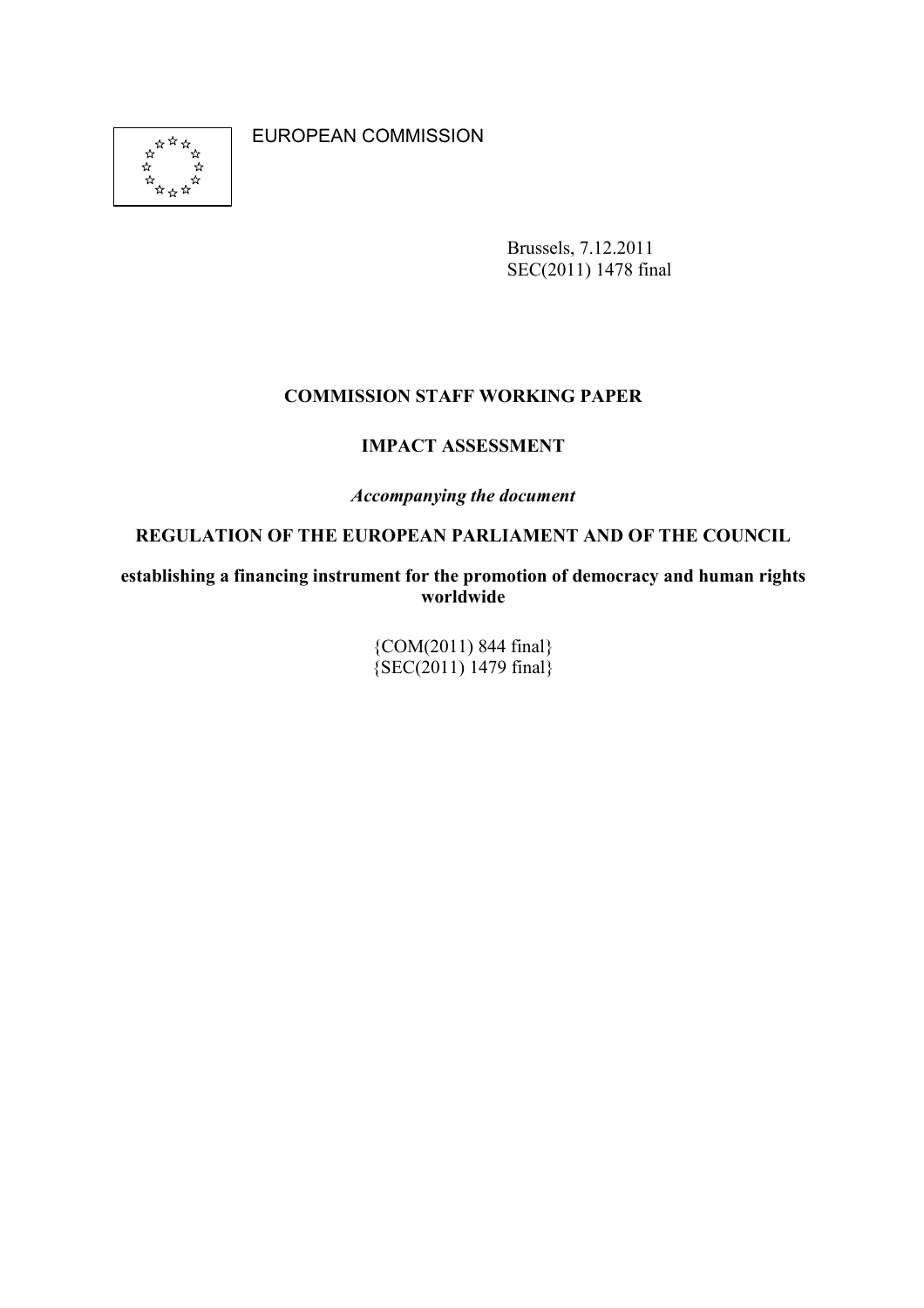**ARTH**<br>XXXXXXX ่\* ্র

EUROPEAN COMMISSION

Brussels, 7.12.2011 SEC(2011) 1478 final

### **COMMISSION STAFF WORKING PAPER**

### **IMPACT ASSESSMENT**

### *Accompanying the document*

### **REGULATION OF THE EUROPEAN PARLIAMENT AND OF THE COUNCIL**

**establishing a financing instrument for the promotion of democracy and human rights worldwide** 

> {COM(2011) 844 final}  $\{SEC(2011) 1479 \text{ final}\}$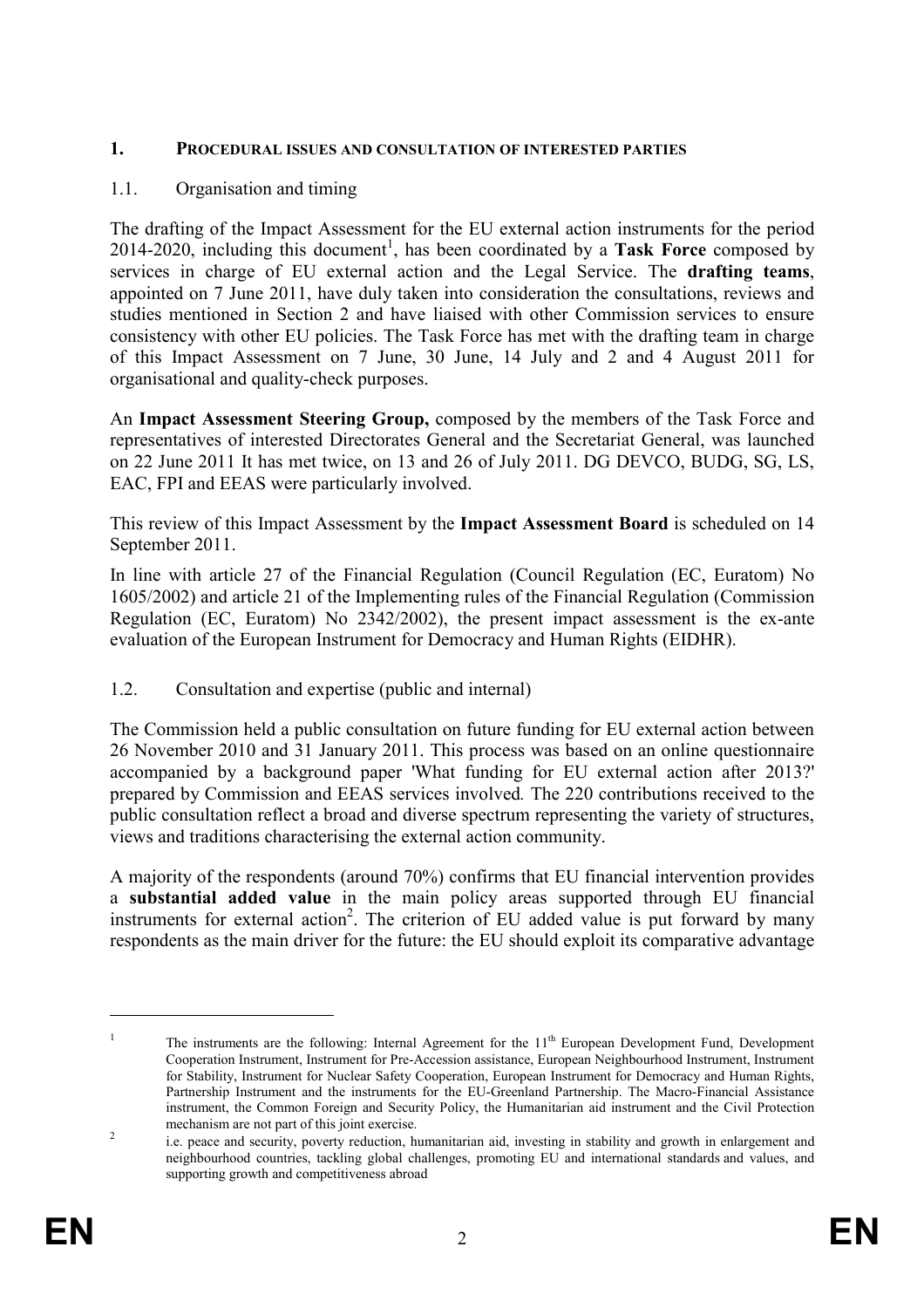#### **1. PROCEDURAL ISSUES AD COSULTATIO OF ITERESTED PARTIES**

#### 1.1. Organisation and timing

The drafting of the Impact Assessment for the EU external action instruments for the period  $2014-2020$ , including this document<sup>1</sup>, has been coordinated by a **Task Force** composed by services in charge of EU external action and the Legal Service. The **drafting teams**, appointed on 7 June 2011, have duly taken into consideration the consultations, reviews and studies mentioned in Section 2 and have liaised with other Commission services to ensure consistency with other EU policies. The Task Force has met with the drafting team in charge of this Impact Assessment on 7 June, 30 June, 14 July and 2 and 4 August 2011 for organisational and quality-check purposes.

An **Impact Assessment Steering Group,** composed by the members of the Task Force and representatives of interested Directorates General and the Secretariat General, was launched on 22 June 2011 It has met twice, on 13 and 26 of July 2011. DG DEVCO, BUDG, SG, LS, EAC, FPI and EEAS were particularly involved.

This review of this Impact Assessment by the **Impact Assessment Board** is scheduled on 14 September 2011.

In line with article 27 of the Financial Regulation (Council Regulation (EC, Euratom) No 1605/2002) and article 21 of the Implementing rules of the Financial Regulation (Commission Regulation (EC, Euratom) No 2342/2002), the present impact assessment is the ex-ante evaluation of the European Instrument for Democracy and Human Rights (EIDHR).

#### 1.2. Consultation and expertise (public and internal)

The Commission held a public consultation on future funding for EU external action between 26 November 2010 and 31 January 2011. This process was based on an online questionnaire accompanied by a background paper 'What funding for EU external action after 2013?' prepared by Commission and EEAS services involved*.* The 220 contributions received to the public consultation reflect a broad and diverse spectrum representing the variety of structures, views and traditions characterising the external action community.

A majority of the respondents (around 70%) confirms that EU financial intervention provides a **substantial added value** in the main policy areas supported through EU financial instruments for external action<sup>2</sup>. The criterion of EU added value is put forward by many respondents as the main driver for the future: the EU should exploit its comparative advantage

<sup>1</sup> The instruments are the following: Internal Agreement for the 11<sup>th</sup> European Development Fund, Development Cooperation Instrument, Instrument for Pre-Accession assistance, European Neighbourhood Instrument, Instrument for Stability, Instrument for Nuclear Safety Cooperation, European Instrument for Democracy and Human Rights, Partnership Instrument and the instruments for the EU-Greenland Partnership. The Macro-Financial Assistance instrument, the Common Foreign and Security Policy, the Humanitarian aid instrument and the Civil Protection mechanism are not part of this joint exercise.

 $\overline{\phantom{a}}$  i.e. peace and security, poverty reduction, humanitarian aid, investing in stability and growth in enlargement and neighbourhood countries, tackling global challenges, promoting EU and international standards and values, and supporting growth and competitiveness abroad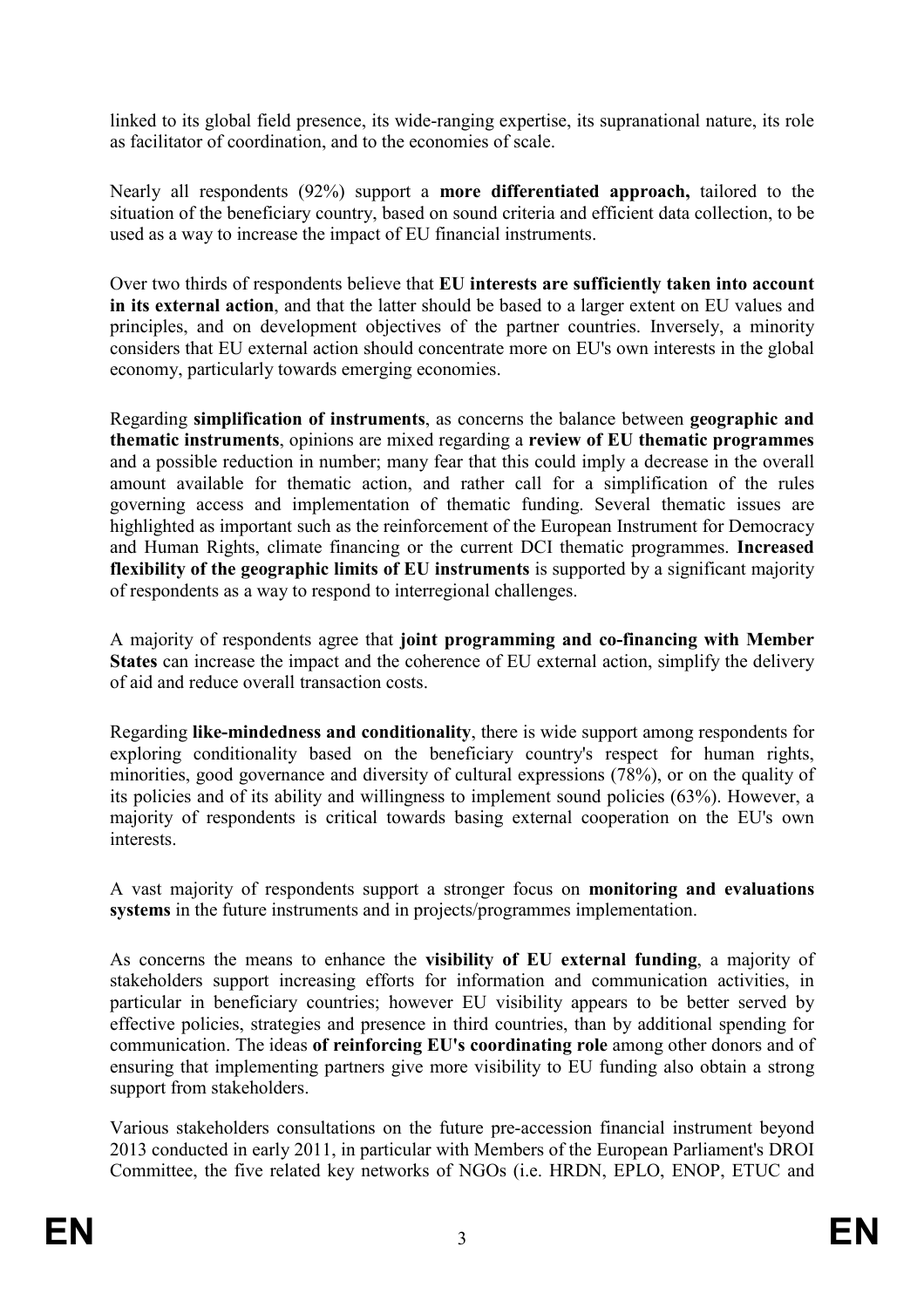linked to its global field presence, its wide-ranging expertise, its supranational nature, its role as facilitator of coordination, and to the economies of scale.

Nearly all respondents (92%) support a **more differentiated approach,** tailored to the situation of the beneficiary country, based on sound criteria and efficient data collection, to be used as a way to increase the impact of EU financial instruments.

Over two thirds of respondents believe that **EU interests are sufficiently taken into account in its external action**, and that the latter should be based to a larger extent on EU values and principles, and on development objectives of the partner countries. Inversely, a minority considers that EU external action should concentrate more on EU's own interests in the global economy, particularly towards emerging economies.

Regarding **simplification of instruments**, as concerns the balance between **geographic and thematic instruments**, opinions are mixed regarding a **review of EU thematic programmes**  and a possible reduction in number; many fear that this could imply a decrease in the overall amount available for thematic action, and rather call for a simplification of the rules governing access and implementation of thematic funding. Several thematic issues are highlighted as important such as the reinforcement of the European Instrument for Democracy and Human Rights, climate financing or the current DCI thematic programmes. **Increased flexibility of the geographic limits of EU instruments** is supported by a significant majority of respondents as a way to respond to interregional challenges.

A majority of respondents agree that **joint programming and co-financing with Member States** can increase the impact and the coherence of EU external action, simplify the delivery of aid and reduce overall transaction costs.

Regarding **like-mindedness and conditionality**, there is wide support among respondents for exploring conditionality based on the beneficiary country's respect for human rights, minorities, good governance and diversity of cultural expressions (78%), or on the quality of its policies and of its ability and willingness to implement sound policies (63%). However, a majority of respondents is critical towards basing external cooperation on the EU's own interests.

A vast majority of respondents support a stronger focus on **monitoring and evaluations systems** in the future instruments and in projects/programmes implementation.

As concerns the means to enhance the **visibility of EU external funding**, a majority of stakeholders support increasing efforts for information and communication activities, in particular in beneficiary countries; however EU visibility appears to be better served by effective policies, strategies and presence in third countries, than by additional spending for communication. The ideas **of reinforcing EU's coordinating role** among other donors and of ensuring that implementing partners give more visibility to EU funding also obtain a strong support from stakeholders.

Various stakeholders consultations on the future pre-accession financial instrument beyond 2013 conducted in early 2011, in particular with Members of the European Parliament's DROI Committee, the five related key networks of NGOs (i.e. HRDN, EPLO, ENOP, ETUC and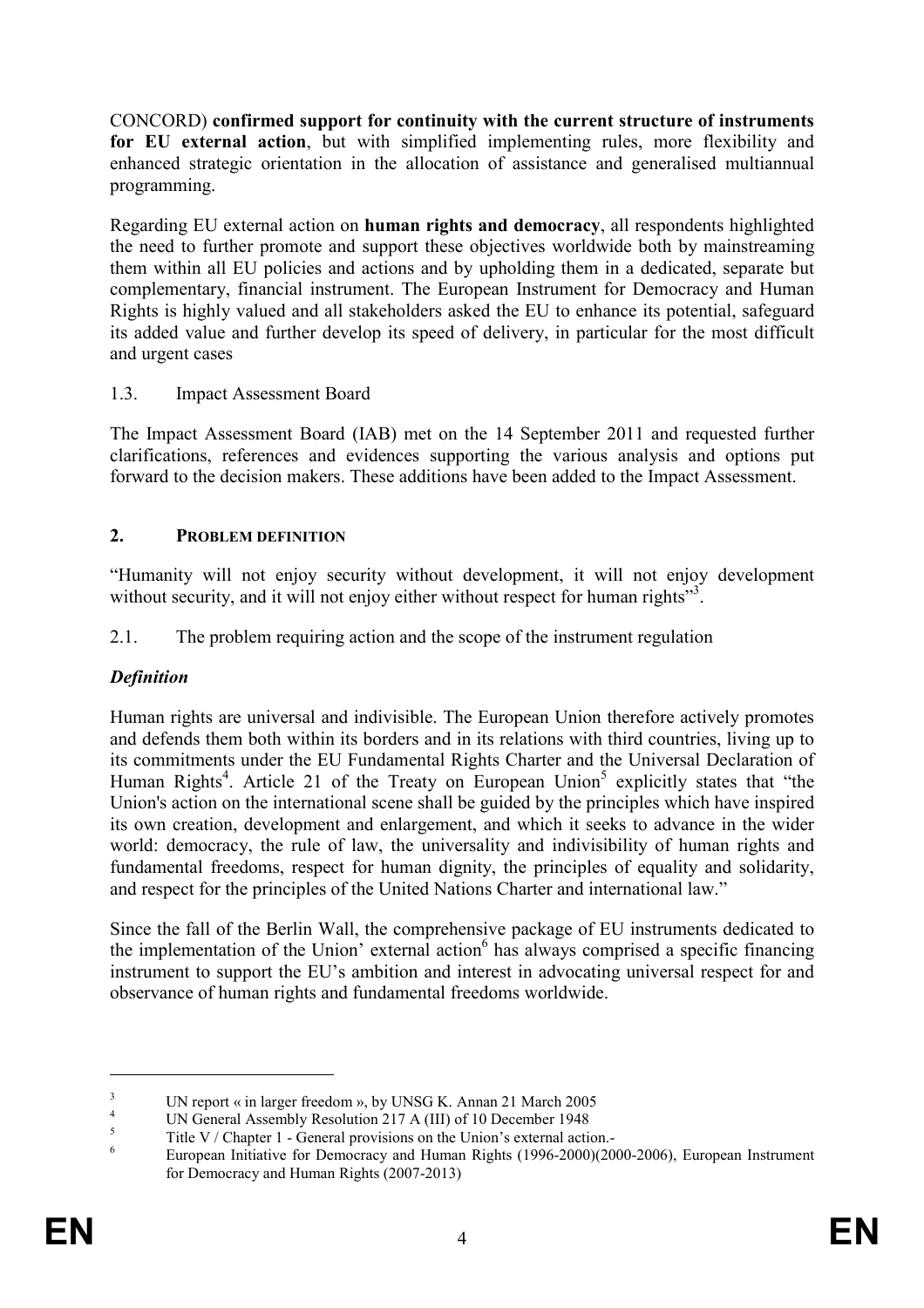CONCORD) **confirmed support for continuity with the current structure of instruments for EU external action**, but with simplified implementing rules, more flexibility and enhanced strategic orientation in the allocation of assistance and generalised multiannual programming.

Regarding EU external action on **human rights and democracy**, all respondents highlighted the need to further promote and support these objectives worldwide both by mainstreaming them within all EU policies and actions and by upholding them in a dedicated, separate but complementary, financial instrument. The European Instrument for Democracy and Human Rights is highly valued and all stakeholders asked the EU to enhance its potential, safeguard its added value and further develop its speed of delivery, in particular for the most difficult and urgent cases

# 1.3. Impact Assessment Board

The Impact Assessment Board (IAB) met on the 14 September 2011 and requested further clarifications, references and evidences supporting the various analysis and options put forward to the decision makers. These additions have been added to the Impact Assessment.

### 2. **PROBLEM DEFINITION**

"Humanity will not enjoy security without development, it will not enjoy development without security, and it will not enjoy either without respect for human rights"<sup>3</sup>.

2.1. The problem requiring action and the scope of the instrument regulation

# *Definition*

Human rights are universal and indivisible. The European Union therefore actively promotes and defends them both within its borders and in its relations with third countries, living up to its commitments under the EU Fundamental Rights Charter and the Universal Declaration of Human Rights<sup>4</sup>. Article 21 of the Treaty on European Union<sup>5</sup> explicitly states that "the Union's action on the international scene shall be guided by the principles which have inspired its own creation, development and enlargement, and which it seeks to advance in the wider world: democracy, the rule of law, the universality and indivisibility of human rights and fundamental freedoms, respect for human dignity, the principles of equality and solidarity, and respect for the principles of the United Nations Charter and international law."

Since the fall of the Berlin Wall, the comprehensive package of EU instruments dedicated to the implementation of the Union' external action<sup>6</sup> has always comprised a specific financing instrument to support the EU's ambition and interest in advocating universal respect for and observance of human rights and fundamental freedoms worldwide.

<sup>3</sup> UN report « in larger freedom », by UNSG K. Annan 21 March 2005

<sup>4</sup> UN General Assembly Resolution 217 A (III) of 10 December 1948

<sup>5</sup> Title V / Chapter 1 - General provisions on the Union's external action.-

<sup>6</sup> European Initiative for Democracy and Human Rights (1996-2000)(2000-2006), European Instrument for Democracy and Human Rights (2007-2013)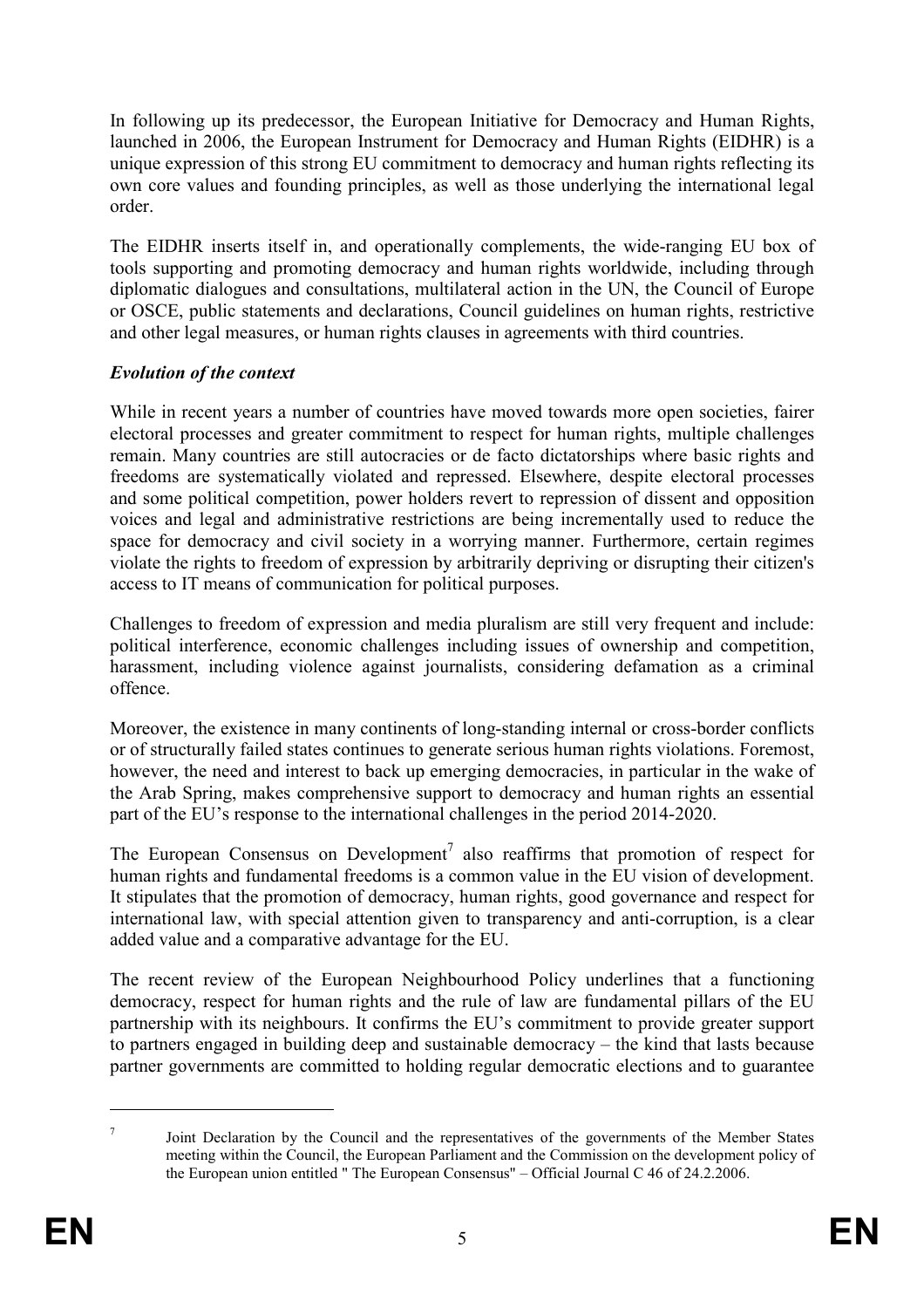In following up its predecessor, the European Initiative for Democracy and Human Rights, launched in 2006, the European Instrument for Democracy and Human Rights (EIDHR) is a unique expression of this strong EU commitment to democracy and human rights reflecting its own core values and founding principles, as well as those underlying the international legal order.

The EIDHR inserts itself in, and operationally complements, the wide-ranging EU box of tools supporting and promoting democracy and human rights worldwide, including through diplomatic dialogues and consultations, multilateral action in the UN, the Council of Europe or OSCE, public statements and declarations, Council guidelines on human rights, restrictive and other legal measures, or human rights clauses in agreements with third countries.

### *Evolution of the context*

While in recent years a number of countries have moved towards more open societies, fairer electoral processes and greater commitment to respect for human rights, multiple challenges remain. Many countries are still autocracies or de facto dictatorships where basic rights and freedoms are systematically violated and repressed. Elsewhere, despite electoral processes and some political competition, power holders revert to repression of dissent and opposition voices and legal and administrative restrictions are being incrementally used to reduce the space for democracy and civil society in a worrying manner. Furthermore, certain regimes violate the rights to freedom of expression by arbitrarily depriving or disrupting their citizen's access to IT means of communication for political purposes.

Challenges to freedom of expression and media pluralism are still very frequent and include: political interference, economic challenges including issues of ownership and competition, harassment, including violence against journalists, considering defamation as a criminal offence.

Moreover, the existence in many continents of long-standing internal or cross-border conflicts or of structurally failed states continues to generate serious human rights violations. Foremost, however, the need and interest to back up emerging democracies, in particular in the wake of the Arab Spring, makes comprehensive support to democracy and human rights an essential part of the EU's response to the international challenges in the period 2014-2020.

The European Consensus on Development<sup>7</sup> also reaffirms that promotion of respect for human rights and fundamental freedoms is a common value in the EU vision of development. It stipulates that the promotion of democracy, human rights, good governance and respect for international law, with special attention given to transparency and anti-corruption, is a clear added value and a comparative advantage for the EU.

The recent review of the European Neighbourhood Policy underlines that a functioning democracy, respect for human rights and the rule of law are fundamental pillars of the EU partnership with its neighbours. It confirms the EU's commitment to provide greater support to partners engaged in building deep and sustainable democracy – the kind that lasts because partner governments are committed to holding regular democratic elections and to guarantee

<sup>7</sup> Joint Declaration by the Council and the representatives of the governments of the Member States meeting within the Council, the European Parliament and the Commission on the development policy of the European union entitled " The European Consensus" – Official Journal C 46 of 24.2.2006.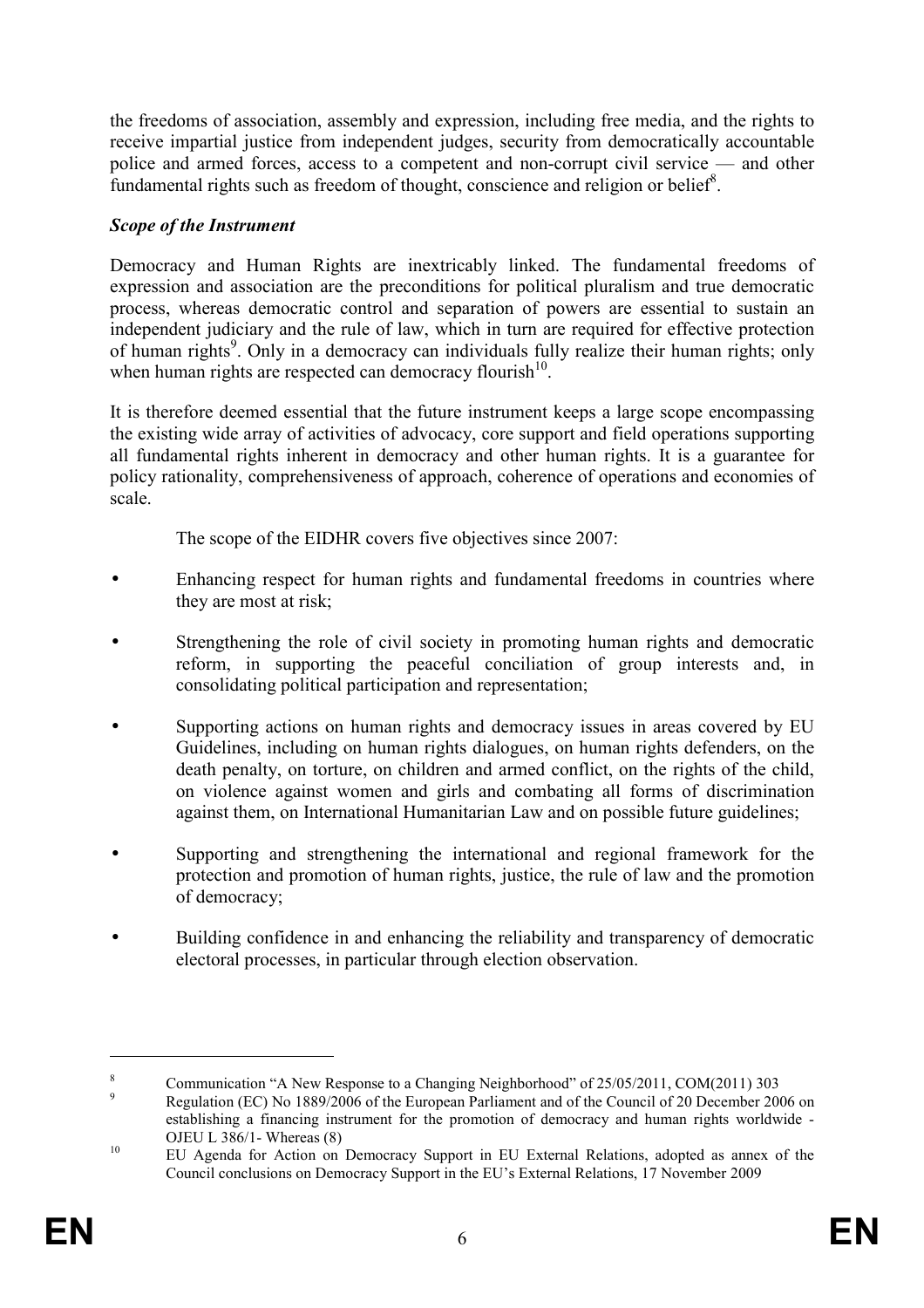the freedoms of association, assembly and expression, including free media, and the rights to receive impartial justice from independent judges, security from democratically accountable police and armed forces, access to a competent and non-corrupt civil service — and other fundamental rights such as freedom of thought, conscience and religion or belief<sup>8</sup>.

# *Scope of the Instrument*

Democracy and Human Rights are inextricably linked. The fundamental freedoms of expression and association are the preconditions for political pluralism and true democratic process, whereas democratic control and separation of powers are essential to sustain an independent judiciary and the rule of law, which in turn are required for effective protection of human rights<sup>9</sup>. Only in a democracy can individuals fully realize their human rights; only when human rights are respected can democracy flourish $10$ .

It is therefore deemed essential that the future instrument keeps a large scope encompassing the existing wide array of activities of advocacy, core support and field operations supporting all fundamental rights inherent in democracy and other human rights. It is a guarantee for policy rationality, comprehensiveness of approach, coherence of operations and economies of scale.

The scope of the EIDHR covers five objectives since 2007:

- Enhancing respect for human rights and fundamental freedoms in countries where they are most at risk;
- Strengthening the role of civil society in promoting human rights and democratic reform, in supporting the peaceful conciliation of group interests and, in consolidating political participation and representation;
- Supporting actions on human rights and democracy issues in areas covered by EU Guidelines, including on human rights dialogues, on human rights defenders, on the death penalty, on torture, on children and armed conflict, on the rights of the child, on violence against women and girls and combating all forms of discrimination against them, on International Humanitarian Law and on possible future guidelines;
- Supporting and strengthening the international and regional framework for the protection and promotion of human rights, justice, the rule of law and the promotion of democracy;
- Building confidence in and enhancing the reliability and transparency of democratic electoral processes, in particular through election observation.

<sup>8</sup> Communication "A New Response to a Changing Neighborhood" of 25/05/2011, COM(2011) 303

<sup>9</sup> Regulation (EC) No 1889/2006 of the European Parliament and of the Council of 20 December 2006 on establishing a financing instrument for the promotion of democracy and human rights worldwide - OJEU L 386/1- Whereas (8)

<sup>&</sup>lt;sup>10</sup> EU Agenda for Action on Democracy Support in EU External Relations, adopted as annex of the Council conclusions on Democracy Support in the EU's External Relations, 17 November 2009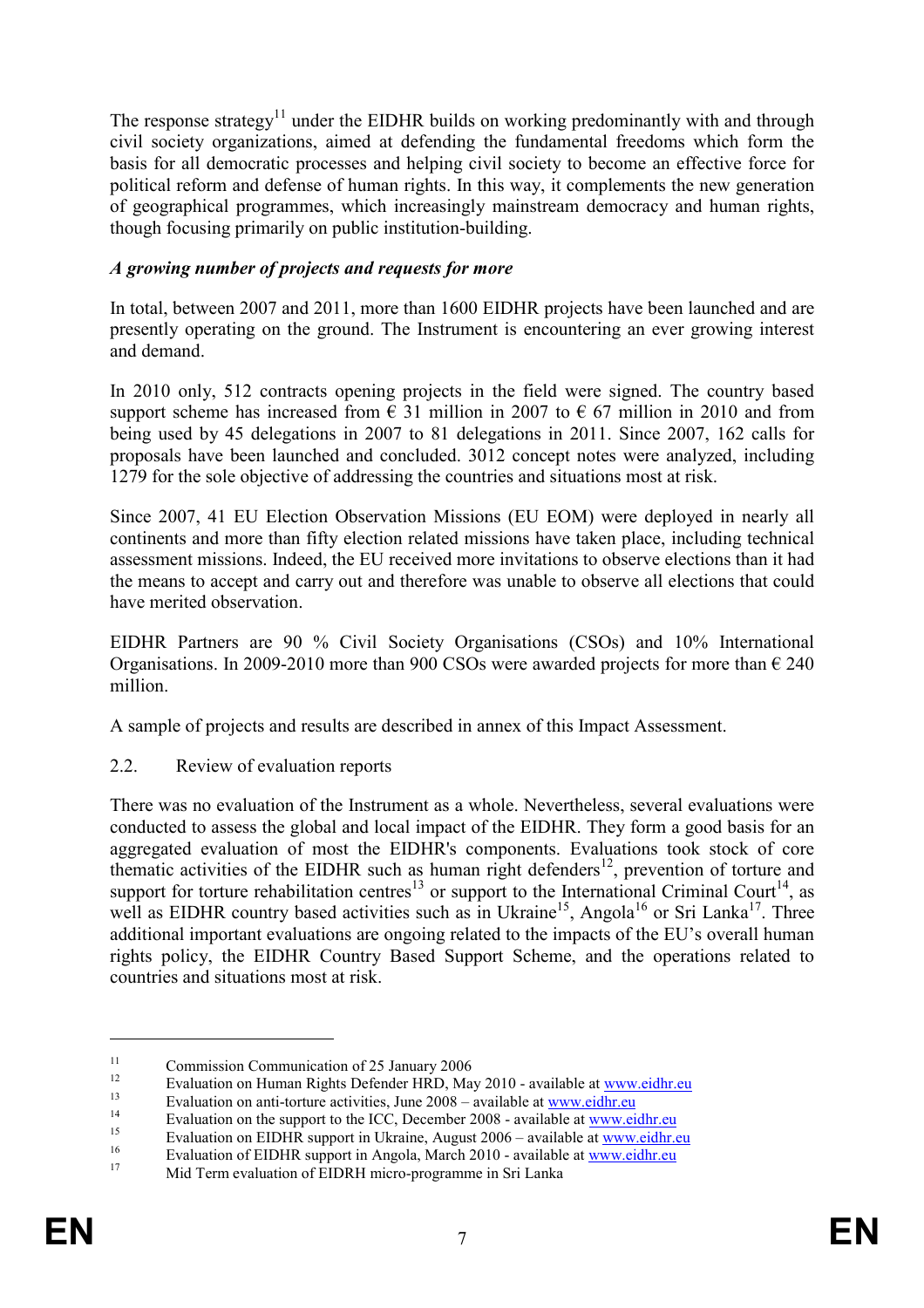The response strategy<sup>11</sup> under the EIDHR builds on working predominantly with and through civil society organizations, aimed at defending the fundamental freedoms which form the basis for all democratic processes and helping civil society to become an effective force for political reform and defense of human rights. In this way, it complements the new generation of geographical programmes, which increasingly mainstream democracy and human rights, though focusing primarily on public institution-building.

### *A growing number of projects and requests for more*

In total, between 2007 and 2011, more than 1600 EIDHR projects have been launched and are presently operating on the ground. The Instrument is encountering an ever growing interest and demand.

In 2010 only, 512 contracts opening projects in the field were signed. The country based support scheme has increased from  $\epsilon$  31 million in 2007 to  $\epsilon$  67 million in 2010 and from being used by 45 delegations in 2007 to 81 delegations in 2011. Since 2007, 162 calls for proposals have been launched and concluded. 3012 concept notes were analyzed, including 1279 for the sole objective of addressing the countries and situations most at risk.

Since 2007, 41 EU Election Observation Missions (EU EOM) were deployed in nearly all continents and more than fifty election related missions have taken place, including technical assessment missions. Indeed, the EU received more invitations to observe elections than it had the means to accept and carry out and therefore was unable to observe all elections that could have merited observation.

EIDHR Partners are 90 % Civil Society Organisations (CSOs) and 10% International Organisations. In 2009-2010 more than 900 CSOs were awarded projects for more than  $\epsilon$  240 million.

A sample of projects and results are described in annex of this Impact Assessment.

2.2. Review of evaluation reports

There was no evaluation of the Instrument as a whole. Nevertheless, several evaluations were conducted to assess the global and local impact of the EIDHR. They form a good basis for an aggregated evaluation of most the EIDHR's components. Evaluations took stock of core thematic activities of the EIDHR such as human right defenders <sup>12</sup>, prevention of torture and support for torture rehabilitation centres<sup>13</sup> or support to the International Criminal Court<sup>14</sup>, as well as EIDHR country based activities such as in Ukraine<sup>15</sup>, Angola<sup>16</sup> or Sri Lanka<sup>17</sup>. Three additional important evaluations are ongoing related to the impacts of the EU's overall human rights policy, the EIDHR Country Based Support Scheme, and the operations related to countries and situations most at risk.

<sup>&</sup>lt;sup>11</sup> Commission Communication of 25 January 2006

<sup>&</sup>lt;sup>12</sup> Evaluation on Human Rights Defender HRD, May 2010 - available at  $\frac{www.eidhr.eu}{u}$ 

<sup>&</sup>lt;sup>13</sup> Evaluation on anti-torture activities, June 2008 – available at [www.eidhr.eu](http://www.eidhr.eu/)

<sup>&</sup>lt;sup>14</sup> Evaluation on the support to the ICC, December 2008 - available at [www.eidhr.eu](http://www.eidhr.eu/)<br>
Evaluation on EUNIP support in Ultrains, Awayst 2006, swallable at www.eidhr.eu

<sup>&</sup>lt;sup>15</sup> Evaluation on EIDHR support in Ukraine, August  $2006 -$  available at [www.eidhr.eu](http://www.eidhr.eu/)

<sup>&</sup>lt;sup>16</sup> Evaluation of EIDHR support in Angola, March 2010 - available at <u>[www.eidhr.eu](http://www.eidhr.eu/)</u>

<sup>17</sup> Mid Term evaluation of EIDRH micro-programme in Sri Lanka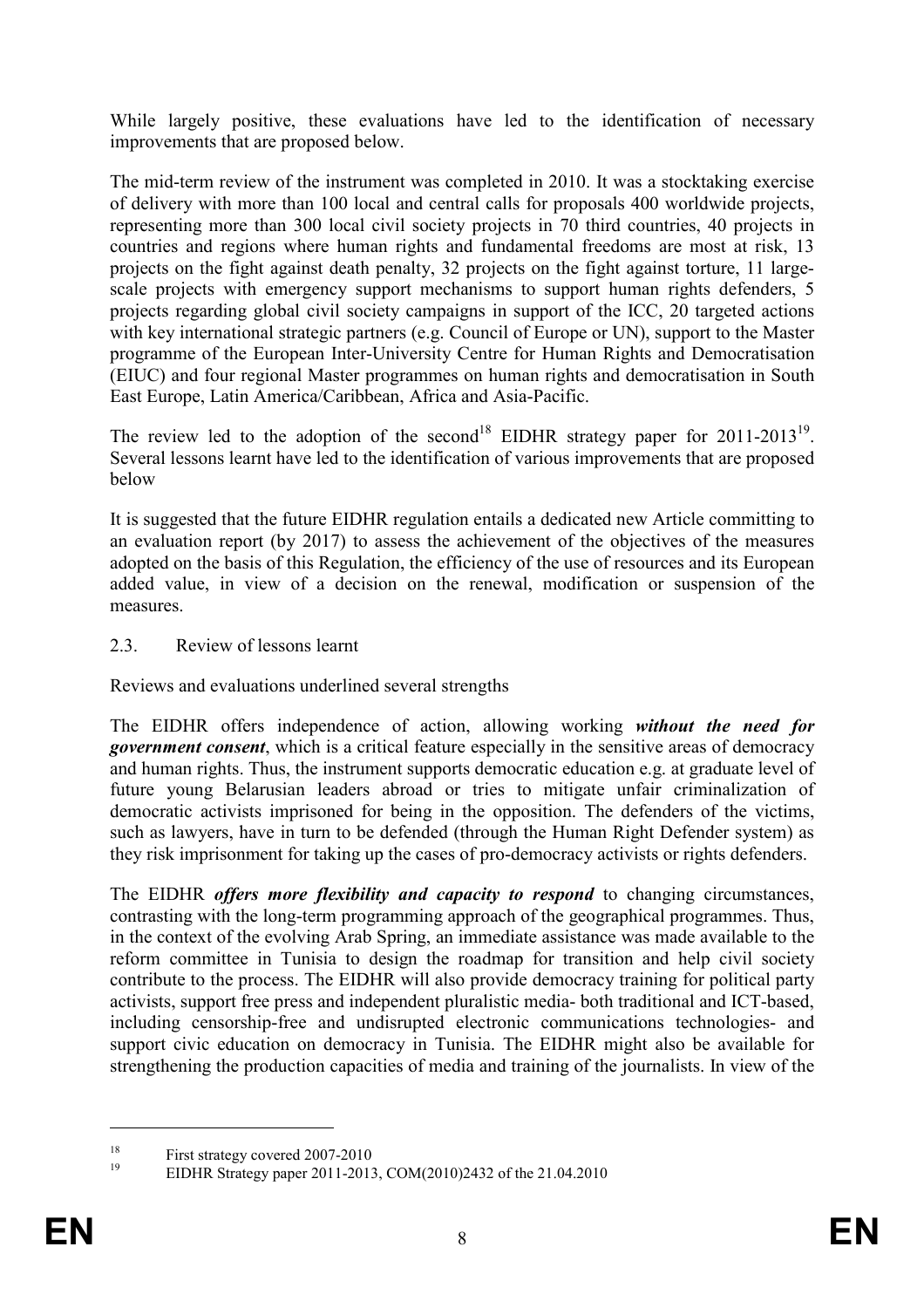While largely positive, these evaluations have led to the identification of necessary improvements that are proposed below.

The mid-term review of the instrument was completed in 2010. It was a stocktaking exercise of delivery with more than 100 local and central calls for proposals 400 worldwide projects, representing more than 300 local civil society projects in 70 third countries, 40 projects in countries and regions where human rights and fundamental freedoms are most at risk, 13 projects on the fight against death penalty, 32 projects on the fight against torture, 11 largescale projects with emergency support mechanisms to support human rights defenders, 5 projects regarding global civil society campaigns in support of the ICC, 20 targeted actions with key international strategic partners (e.g. Council of Europe or UN), support to the Master programme of the European Inter-University Centre for Human Rights and Democratisation (EIUC) and four regional Master programmes on human rights and democratisation in South East Europe, Latin America/Caribbean, Africa and Asia-Pacific.

The review led to the adoption of the second<sup>18</sup> EIDHR strategy paper for 2011-2013<sup>19</sup>. Several lessons learnt have led to the identification of various improvements that are proposed below

It is suggested that the future EIDHR regulation entails a dedicated new Article committing to an evaluation report (by 2017) to assess the achievement of the objectives of the measures adopted on the basis of this Regulation, the efficiency of the use of resources and its European added value, in view of a decision on the renewal, modification or suspension of the measures.

### 2.3. Review of lessons learnt

Reviews and evaluations underlined several strengths

The EIDHR offers independence of action, allowing working *without the need for government consent*, which is a critical feature especially in the sensitive areas of democracy and human rights. Thus, the instrument supports democratic education e.g. at graduate level of future young Belarusian leaders abroad or tries to mitigate unfair criminalization of democratic activists imprisoned for being in the opposition. The defenders of the victims, such as lawyers, have in turn to be defended (through the Human Right Defender system) as they risk imprisonment for taking up the cases of pro-democracy activists or rights defenders.

The EIDHR *offers more flexibility and capacity to respond* to changing circumstances, contrasting with the long-term programming approach of the geographical programmes. Thus, in the context of the evolving Arab Spring, an immediate assistance was made available to the reform committee in Tunisia to design the roadmap for transition and help civil society contribute to the process. The EIDHR will also provide democracy training for political party activists, support free press and independent pluralistic media- both traditional and ICT-based, including censorship-free and undisrupted electronic communications technologies- and support civic education on democracy in Tunisia. The EIDHR might also be available for strengthening the production capacities of media and training of the journalists. In view of the

<sup>&</sup>lt;sup>18</sup> First strategy covered 2007-2010

<sup>19</sup> EIDHR Strategy paper 2011-2013, COM(2010)2432 of the 21.04.2010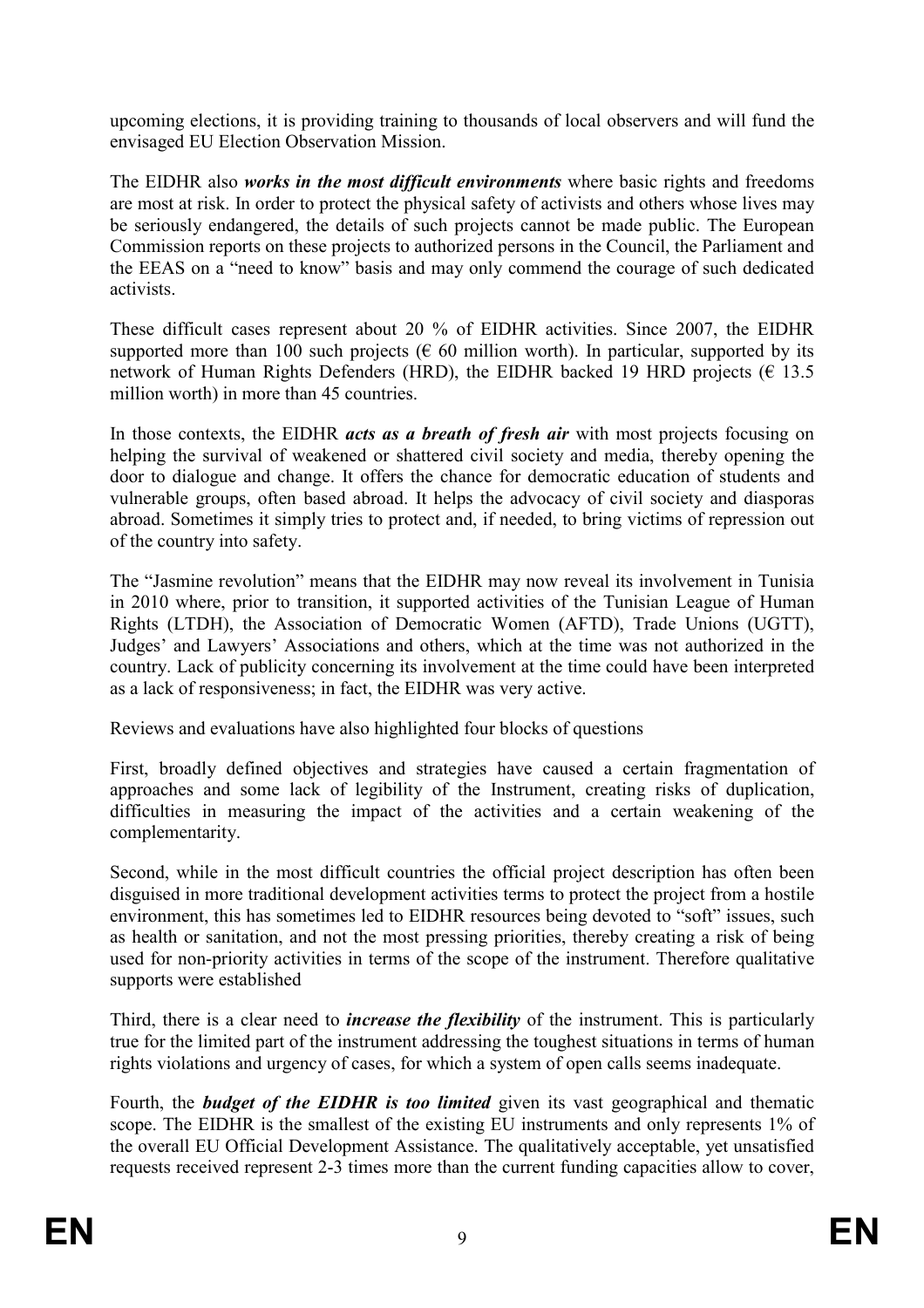upcoming elections, it is providing training to thousands of local observers and will fund the envisaged EU Election Observation Mission.

The EIDHR also *works in the most difficult environments* where basic rights and freedoms are most at risk. In order to protect the physical safety of activists and others whose lives may be seriously endangered, the details of such projects cannot be made public. The European Commission reports on these projects to authorized persons in the Council, the Parliament and the EEAS on a "need to know" basis and may only commend the courage of such dedicated activists.

These difficult cases represent about 20 % of EIDHR activities. Since 2007, the EIDHR supported more than 100 such projects ( $\epsilon$  60 million worth). In particular, supported by its network of Human Rights Defenders (HRD), the EIDHR backed 19 HRD projects ( $\epsilon$  13.5) million worth) in more than 45 countries.

In those contexts, the EIDHR *acts as a breath of fresh air* with most projects focusing on helping the survival of weakened or shattered civil society and media, thereby opening the door to dialogue and change. It offers the chance for democratic education of students and vulnerable groups, often based abroad. It helps the advocacy of civil society and diasporas abroad. Sometimes it simply tries to protect and, if needed, to bring victims of repression out of the country into safety.

The "Jasmine revolution" means that the EIDHR may now reveal its involvement in Tunisia in 2010 where, prior to transition, it supported activities of the Tunisian League of Human Rights (LTDH), the Association of Democratic Women (AFTD), Trade Unions (UGTT), Judges' and Lawyers' Associations and others, which at the time was not authorized in the country. Lack of publicity concerning its involvement at the time could have been interpreted as a lack of responsiveness; in fact, the EIDHR was very active.

Reviews and evaluations have also highlighted four blocks of questions

First, broadly defined objectives and strategies have caused a certain fragmentation of approaches and some lack of legibility of the Instrument, creating risks of duplication, difficulties in measuring the impact of the activities and a certain weakening of the complementarity.

Second, while in the most difficult countries the official project description has often been disguised in more traditional development activities terms to protect the project from a hostile environment, this has sometimes led to EIDHR resources being devoted to "soft" issues, such as health or sanitation, and not the most pressing priorities, thereby creating a risk of being used for non-priority activities in terms of the scope of the instrument. Therefore qualitative supports were established

Third, there is a clear need to *increase the flexibility* of the instrument. This is particularly true for the limited part of the instrument addressing the toughest situations in terms of human rights violations and urgency of cases, for which a system of open calls seems inadequate.

Fourth, the *budget of the EIDHR is too limited* given its vast geographical and thematic scope. The EIDHR is the smallest of the existing EU instruments and only represents 1% of the overall EU Official Development Assistance. The qualitatively acceptable, yet unsatisfied requests received represent 2-3 times more than the current funding capacities allow to cover,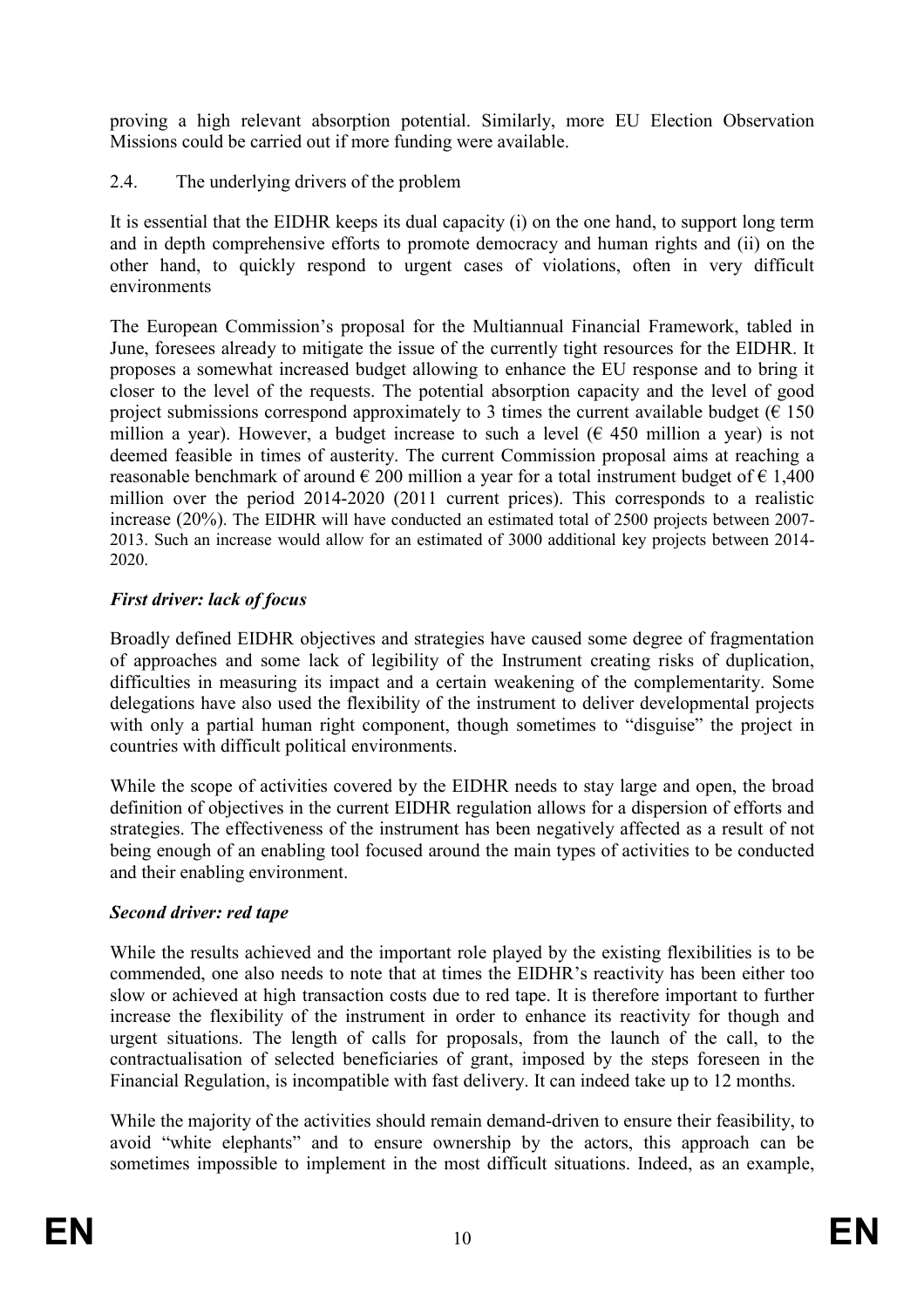proving a high relevant absorption potential. Similarly, more EU Election Observation Missions could be carried out if more funding were available.

2.4. The underlying drivers of the problem

It is essential that the EIDHR keeps its dual capacity (i) on the one hand, to support long term and in depth comprehensive efforts to promote democracy and human rights and (ii) on the other hand, to quickly respond to urgent cases of violations, often in very difficult environments

The European Commission's proposal for the Multiannual Financial Framework, tabled in June, foresees already to mitigate the issue of the currently tight resources for the EIDHR. It proposes a somewhat increased budget allowing to enhance the EU response and to bring it closer to the level of the requests. The potential absorption capacity and the level of good project submissions correspond approximately to 3 times the current available budget ( $\epsilon$  150 million a year). However, a budget increase to such a level ( $\epsilon$  450 million a year) is not deemed feasible in times of austerity. The current Commission proposal aims at reaching a reasonable benchmark of around  $\epsilon$  200 million a year for a total instrument budget of  $\epsilon$  1,400 million over the period 2014-2020 (2011 current prices). This corresponds to a realistic increase (20%). The EIDHR will have conducted an estimated total of 2500 projects between 2007- 2013. Such an increase would allow for an estimated of 3000 additional key projects between 2014- 2020.

# *First driver: lack of focus*

Broadly defined EIDHR objectives and strategies have caused some degree of fragmentation of approaches and some lack of legibility of the Instrument creating risks of duplication, difficulties in measuring its impact and a certain weakening of the complementarity. Some delegations have also used the flexibility of the instrument to deliver developmental projects with only a partial human right component, though sometimes to "disguise" the project in countries with difficult political environments.

While the scope of activities covered by the EIDHR needs to stay large and open, the broad definition of objectives in the current EIDHR regulation allows for a dispersion of efforts and strategies. The effectiveness of the instrument has been negatively affected as a result of not being enough of an enabling tool focused around the main types of activities to be conducted and their enabling environment.

# *Second driver: red tape*

While the results achieved and the important role played by the existing flexibilities is to be commended, one also needs to note that at times the EIDHR's reactivity has been either too slow or achieved at high transaction costs due to red tape. It is therefore important to further increase the flexibility of the instrument in order to enhance its reactivity for though and urgent situations. The length of calls for proposals, from the launch of the call, to the contractualisation of selected beneficiaries of grant, imposed by the steps foreseen in the Financial Regulation, is incompatible with fast delivery. It can indeed take up to 12 months.

While the majority of the activities should remain demand-driven to ensure their feasibility, to avoid "white elephants" and to ensure ownership by the actors, this approach can be sometimes impossible to implement in the most difficult situations. Indeed, as an example,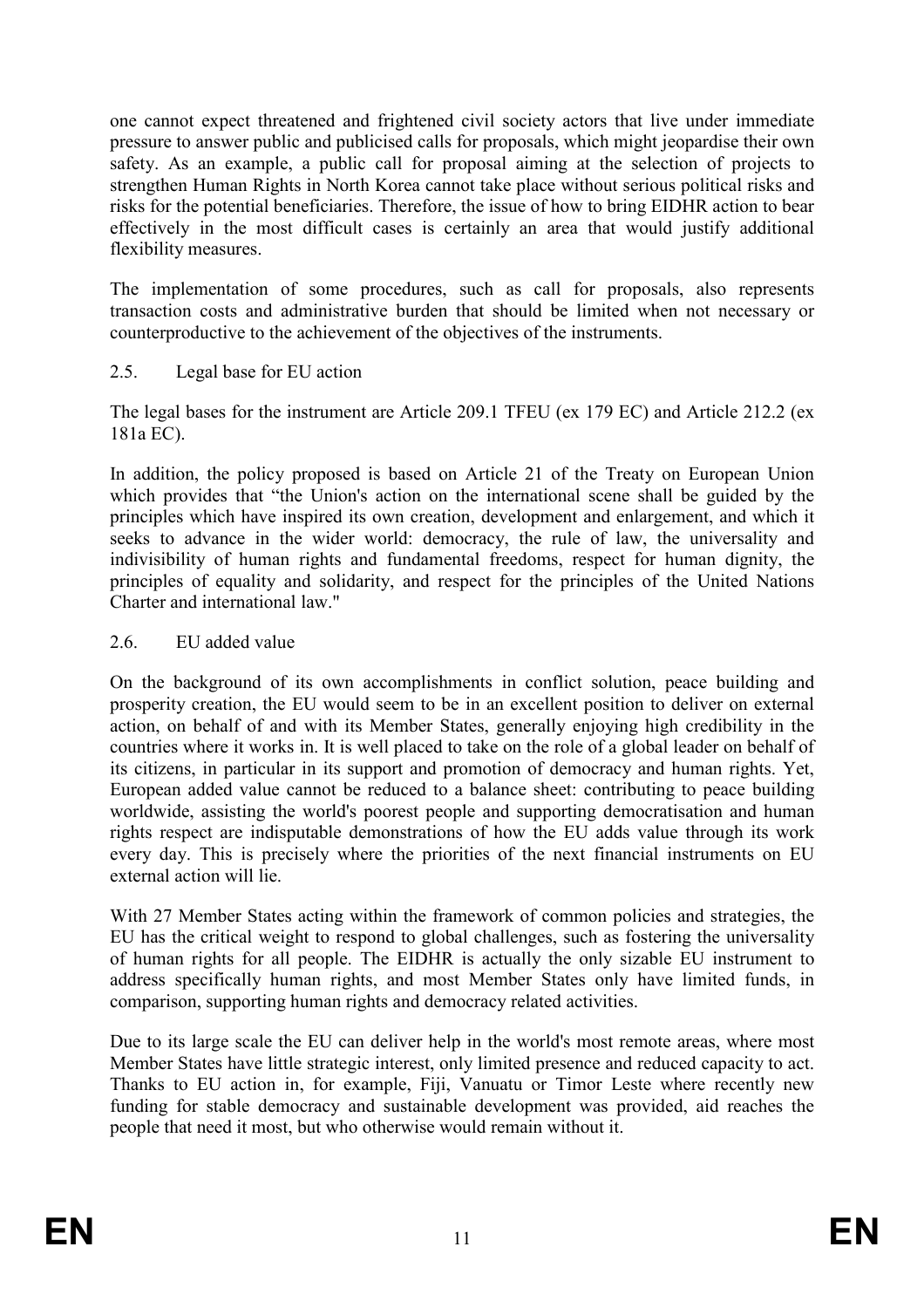one cannot expect threatened and frightened civil society actors that live under immediate pressure to answer public and publicised calls for proposals, which might jeopardise their own safety. As an example, a public call for proposal aiming at the selection of projects to strengthen Human Rights in North Korea cannot take place without serious political risks and risks for the potential beneficiaries. Therefore, the issue of how to bring EIDHR action to bear effectively in the most difficult cases is certainly an area that would justify additional flexibility measures.

The implementation of some procedures, such as call for proposals, also represents transaction costs and administrative burden that should be limited when not necessary or counterproductive to the achievement of the objectives of the instruments.

# 2.5. Legal base for EU action

The legal bases for the instrument are Article 209.1 TFEU (ex 179 EC) and Article 212.2 (ex 181a EC).

In addition, the policy proposed is based on Article 21 of the Treaty on European Union which provides that "the Union's action on the international scene shall be guided by the principles which have inspired its own creation, development and enlargement, and which it seeks to advance in the wider world: democracy, the rule of law, the universality and indivisibility of human rights and fundamental freedoms, respect for human dignity, the principles of equality and solidarity, and respect for the principles of the United Nations Charter and international law."

### 2.6. EU added value

On the background of its own accomplishments in conflict solution, peace building and prosperity creation, the EU would seem to be in an excellent position to deliver on external action, on behalf of and with its Member States, generally enjoying high credibility in the countries where it works in. It is well placed to take on the role of a global leader on behalf of its citizens, in particular in its support and promotion of democracy and human rights. Yet, European added value cannot be reduced to a balance sheet: contributing to peace building worldwide, assisting the world's poorest people and supporting democratisation and human rights respect are indisputable demonstrations of how the EU adds value through its work every day. This is precisely where the priorities of the next financial instruments on EU external action will lie.

With 27 Member States acting within the framework of common policies and strategies, the EU has the critical weight to respond to global challenges, such as fostering the universality of human rights for all people. The EIDHR is actually the only sizable EU instrument to address specifically human rights, and most Member States only have limited funds, in comparison, supporting human rights and democracy related activities.

Due to its large scale the EU can deliver help in the world's most remote areas, where most Member States have little strategic interest, only limited presence and reduced capacity to act. Thanks to EU action in, for example, Fiji, Vanuatu or Timor Leste where recently new funding for stable democracy and sustainable development was provided, aid reaches the people that need it most, but who otherwise would remain without it.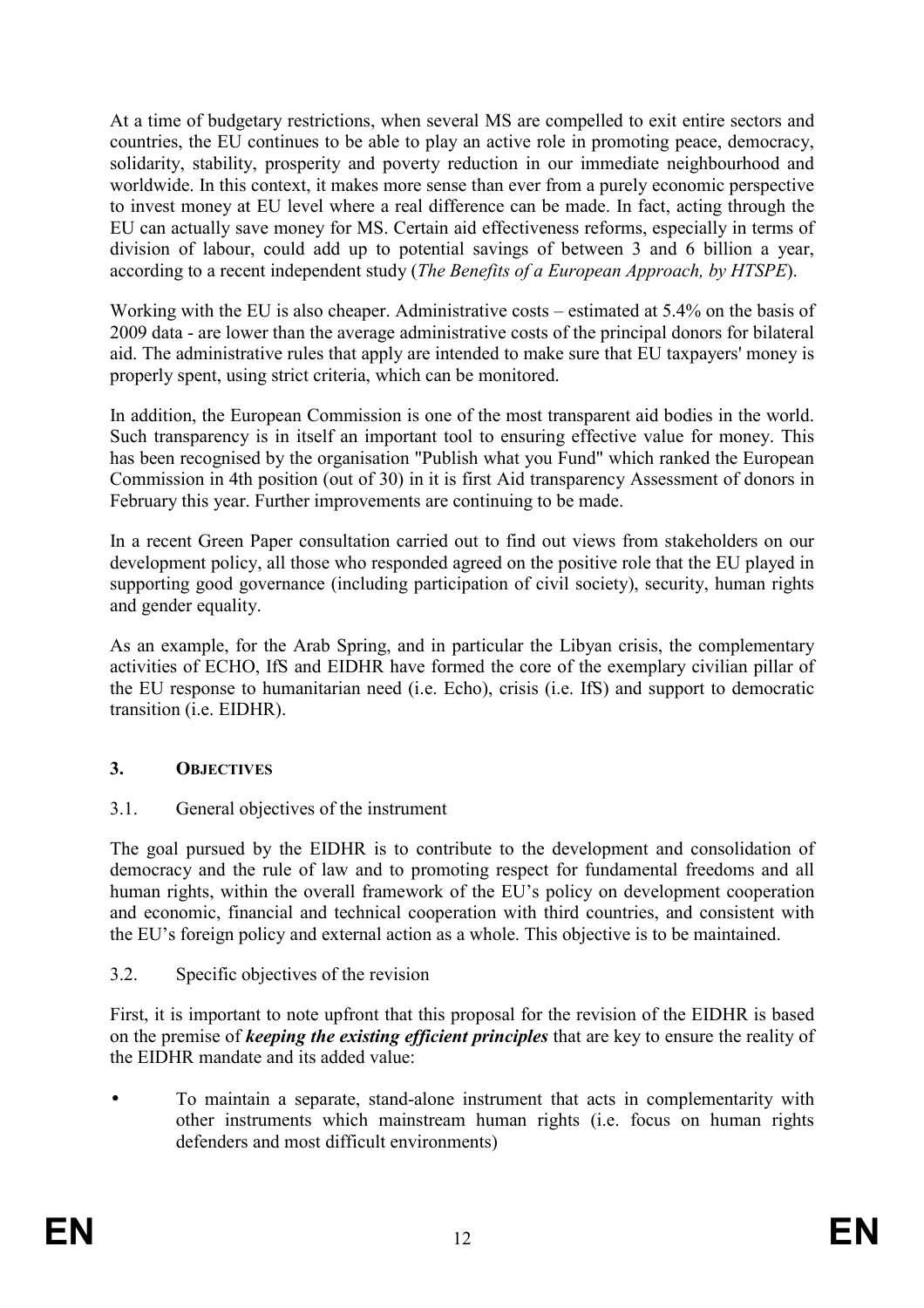At a time of budgetary restrictions, when several MS are compelled to exit entire sectors and countries, the EU continues to be able to play an active role in promoting peace, democracy, solidarity, stability, prosperity and poverty reduction in our immediate neighbourhood and worldwide. In this context, it makes more sense than ever from a purely economic perspective to invest money at EU level where a real difference can be made. In fact, acting through the EU can actually save money for MS. Certain aid effectiveness reforms, especially in terms of division of labour, could add up to potential savings of between 3 and 6 billion a year, according to a recent independent study (*The Benefits of a European Approach, by HTSPE*).

Working with the EU is also cheaper. Administrative costs – estimated at 5.4% on the basis of 2009 data - are lower than the average administrative costs of the principal donors for bilateral aid. The administrative rules that apply are intended to make sure that EU taxpayers' money is properly spent, using strict criteria, which can be monitored.

In addition, the European Commission is one of the most transparent aid bodies in the world. Such transparency is in itself an important tool to ensuring effective value for money. This has been recognised by the organisation "Publish what you Fund" which ranked the European Commission in 4th position (out of 30) in it is first Aid transparency Assessment of donors in February this year. Further improvements are continuing to be made.

In a recent Green Paper consultation carried out to find out views from stakeholders on our development policy, all those who responded agreed on the positive role that the EU played in supporting good governance (including participation of civil society), security, human rights and gender equality.

As an example, for the Arab Spring, and in particular the Libyan crisis, the complementary activities of ECHO, IfS and EIDHR have formed the core of the exemplary civilian pillar of the EU response to humanitarian need (i.e. Echo), crisis (i.e. IfS) and support to democratic transition (i.e. EIDHR).

# **3. OBJECTIVES**

3.1. General objectives of the instrument

The goal pursued by the EIDHR is to contribute to the development and consolidation of democracy and the rule of law and to promoting respect for fundamental freedoms and all human rights, within the overall framework of the EU's policy on development cooperation and economic, financial and technical cooperation with third countries, and consistent with the EU's foreign policy and external action as a whole. This objective is to be maintained.

3.2. Specific objectives of the revision

First, it is important to note upfront that this proposal for the revision of the EIDHR is based on the premise of *keeping the existing efficient principles* that are key to ensure the reality of the EIDHR mandate and its added value:

• To maintain a separate, stand-alone instrument that acts in complementarity with other instruments which mainstream human rights (i.e. focus on human rights defenders and most difficult environments)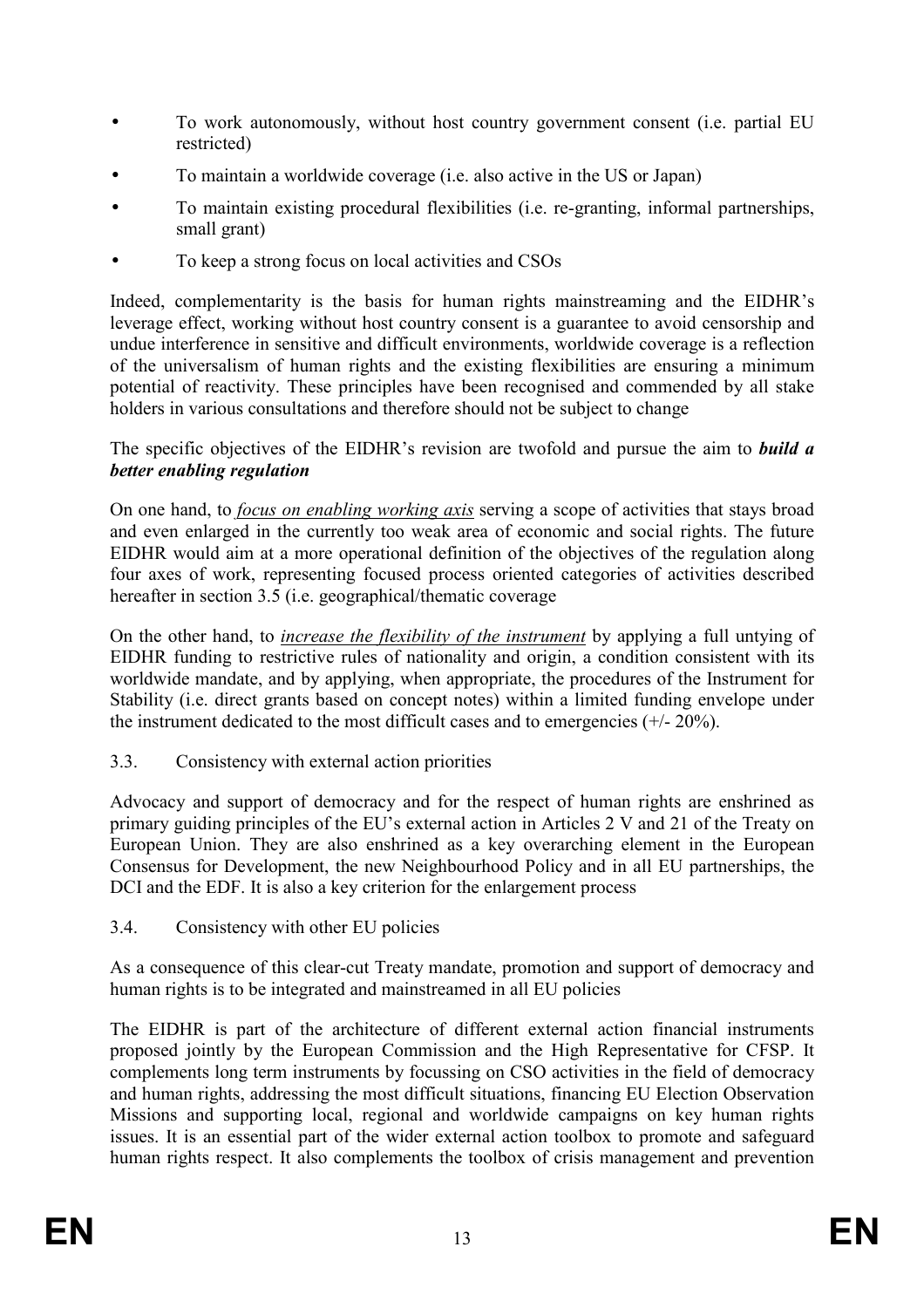- To work autonomously, without host country government consent (i.e. partial EU restricted)
- To maintain a worldwide coverage (i.e. also active in the US or Japan)
- To maintain existing procedural flexibilities (i.e. re-granting, informal partnerships, small grant)
- To keep a strong focus on local activities and CSOs

Indeed, complementarity is the basis for human rights mainstreaming and the EIDHR's leverage effect, working without host country consent is a guarantee to avoid censorship and undue interference in sensitive and difficult environments, worldwide coverage is a reflection of the universalism of human rights and the existing flexibilities are ensuring a minimum potential of reactivity. These principles have been recognised and commended by all stake holders in various consultations and therefore should not be subject to change

The specific objectives of the EIDHR's revision are twofold and pursue the aim to *build a better enabling regulation*

On one hand, to *focus on enabling working axis* serving a scope of activities that stays broad and even enlarged in the currently too weak area of economic and social rights. The future EIDHR would aim at a more operational definition of the objectives of the regulation along four axes of work, representing focused process oriented categories of activities described hereafter in section 3.5 (i.e. geographical/thematic coverage

On the other hand, to *increase the flexibility of the instrument* by applying a full untying of EIDHR funding to restrictive rules of nationality and origin, a condition consistent with its worldwide mandate, and by applying, when appropriate, the procedures of the Instrument for Stability (i.e. direct grants based on concept notes) within a limited funding envelope under the instrument dedicated to the most difficult cases and to emergencies (+/- 20%).

3.3. Consistency with external action priorities

Advocacy and support of democracy and for the respect of human rights are enshrined as primary guiding principles of the EU's external action in Articles 2 V and 21 of the Treaty on European Union. They are also enshrined as a key overarching element in the European Consensus for Development, the new Neighbourhood Policy and in all EU partnerships, the DCI and the EDF. It is also a key criterion for the enlargement process

3.4. Consistency with other EU policies

As a consequence of this clear-cut Treaty mandate, promotion and support of democracy and human rights is to be integrated and mainstreamed in all EU policies

The EIDHR is part of the architecture of different external action financial instruments proposed jointly by the European Commission and the High Representative for CFSP. It complements long term instruments by focussing on CSO activities in the field of democracy and human rights, addressing the most difficult situations, financing EU Election Observation Missions and supporting local, regional and worldwide campaigns on key human rights issues. It is an essential part of the wider external action toolbox to promote and safeguard human rights respect. It also complements the toolbox of crisis management and prevention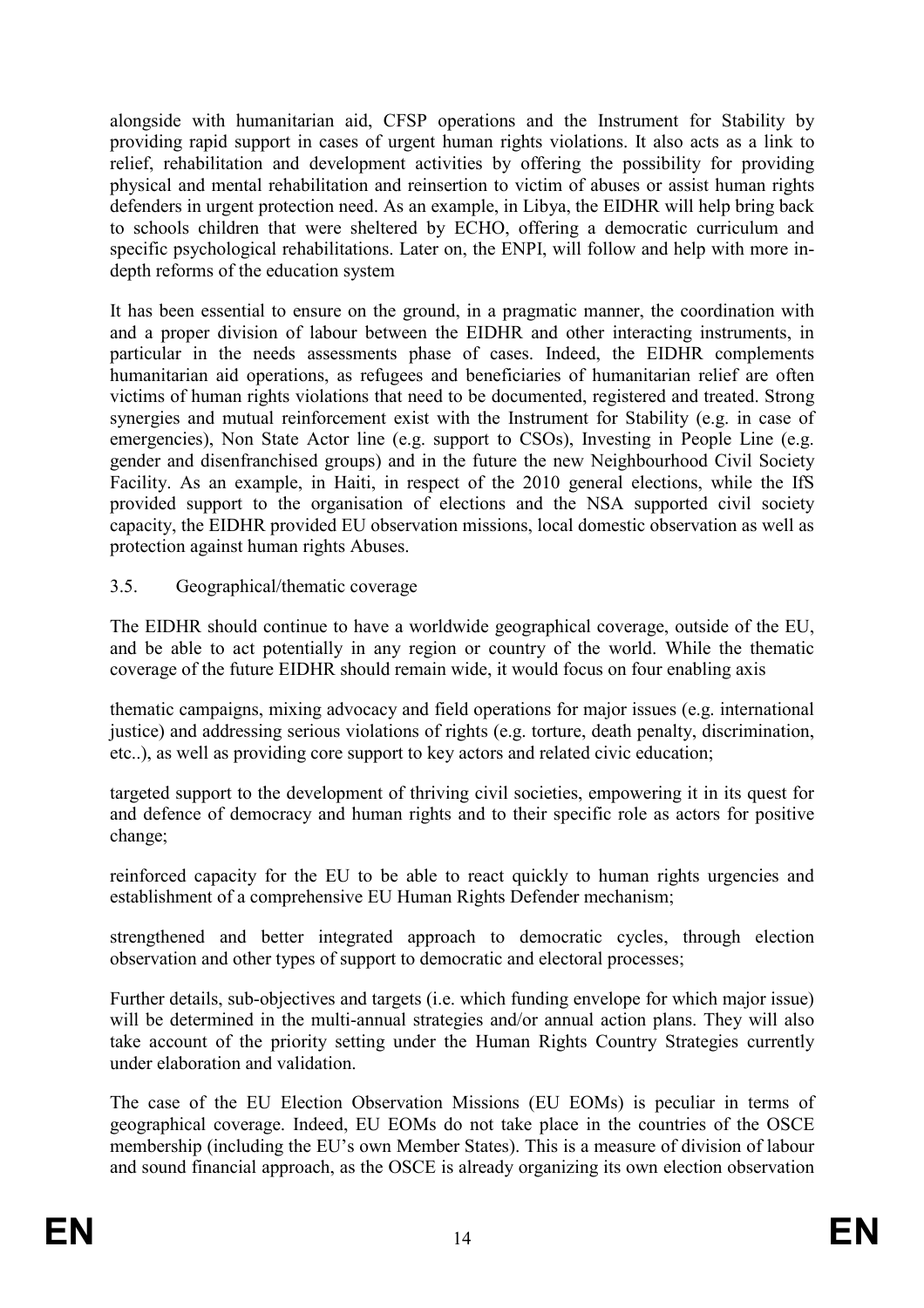alongside with humanitarian aid, CFSP operations and the Instrument for Stability by providing rapid support in cases of urgent human rights violations. It also acts as a link to relief, rehabilitation and development activities by offering the possibility for providing physical and mental rehabilitation and reinsertion to victim of abuses or assist human rights defenders in urgent protection need. As an example, in Libya, the EIDHR will help bring back to schools children that were sheltered by ECHO, offering a democratic curriculum and specific psychological rehabilitations. Later on, the ENPI, will follow and help with more indepth reforms of the education system

It has been essential to ensure on the ground, in a pragmatic manner, the coordination with and a proper division of labour between the EIDHR and other interacting instruments, in particular in the needs assessments phase of cases. Indeed, the EIDHR complements humanitarian aid operations, as refugees and beneficiaries of humanitarian relief are often victims of human rights violations that need to be documented, registered and treated. Strong synergies and mutual reinforcement exist with the Instrument for Stability (e.g. in case of emergencies), Non State Actor line (e.g. support to CSOs), Investing in People Line (e.g. gender and disenfranchised groups) and in the future the new Neighbourhood Civil Society Facility. As an example, in Haiti, in respect of the 2010 general elections, while the IfS provided support to the organisation of elections and the NSA supported civil society capacity, the EIDHR provided EU observation missions, local domestic observation as well as protection against human rights Abuses.

# 3.5. Geographical/thematic coverage

The EIDHR should continue to have a worldwide geographical coverage, outside of the EU, and be able to act potentially in any region or country of the world. While the thematic coverage of the future EIDHR should remain wide, it would focus on four enabling axis

thematic campaigns, mixing advocacy and field operations for major issues (e.g. international justice) and addressing serious violations of rights (e.g. torture, death penalty, discrimination, etc..), as well as providing core support to key actors and related civic education;

targeted support to the development of thriving civil societies, empowering it in its quest for and defence of democracy and human rights and to their specific role as actors for positive change;

reinforced capacity for the EU to be able to react quickly to human rights urgencies and establishment of a comprehensive EU Human Rights Defender mechanism;

strengthened and better integrated approach to democratic cycles, through election observation and other types of support to democratic and electoral processes;

Further details, sub-objectives and targets (i.e. which funding envelope for which major issue) will be determined in the multi-annual strategies and/or annual action plans. They will also take account of the priority setting under the Human Rights Country Strategies currently under elaboration and validation.

The case of the EU Election Observation Missions (EU EOMs) is peculiar in terms of geographical coverage. Indeed, EU EOMs do not take place in the countries of the OSCE membership (including the EU's own Member States). This is a measure of division of labour and sound financial approach, as the OSCE is already organizing its own election observation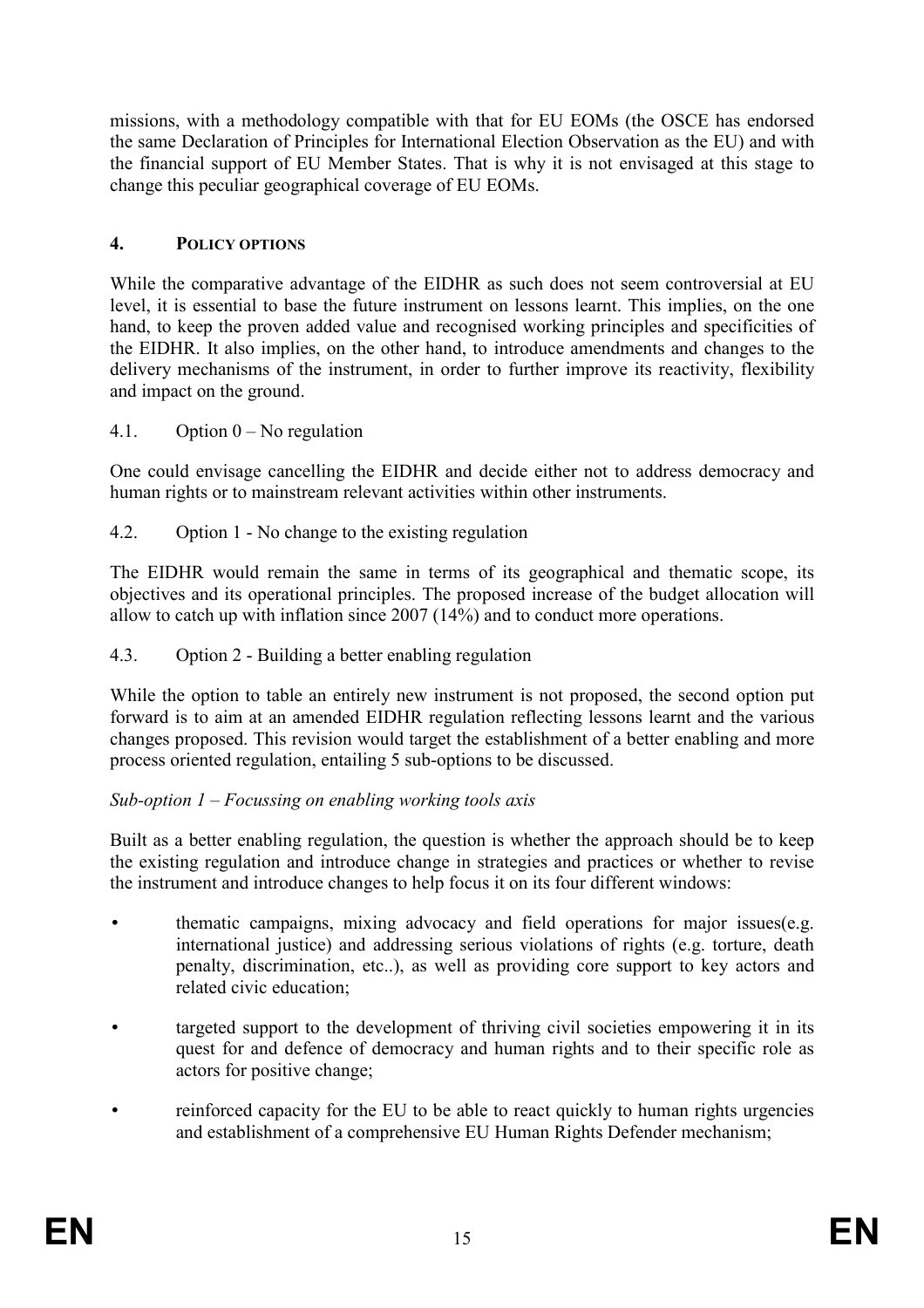missions, with a methodology compatible with that for EU EOMs (the OSCE has endorsed the same Declaration of Principles for International Election Observation as the EU) and with the financial support of EU Member States. That is why it is not envisaged at this stage to change this peculiar geographical coverage of EU EOMs.

# **4. POLICY OPTIOS**

While the comparative advantage of the EIDHR as such does not seem controversial at EU level, it is essential to base the future instrument on lessons learnt. This implies, on the one hand, to keep the proven added value and recognised working principles and specificities of the EIDHR. It also implies, on the other hand, to introduce amendments and changes to the delivery mechanisms of the instrument, in order to further improve its reactivity, flexibility and impact on the ground.

4.1. Option  $0 - No$  regulation

One could envisage cancelling the EIDHR and decide either not to address democracy and human rights or to mainstream relevant activities within other instruments.

4.2. Option 1 - No change to the existing regulation

The EIDHR would remain the same in terms of its geographical and thematic scope, its objectives and its operational principles. The proposed increase of the budget allocation will allow to catch up with inflation since 2007 (14%) and to conduct more operations.

4.3. Option 2 - Building a better enabling regulation

While the option to table an entirely new instrument is not proposed, the second option put forward is to aim at an amended EIDHR regulation reflecting lessons learnt and the various changes proposed. This revision would target the establishment of a better enabling and more process oriented regulation, entailing 5 sub-options to be discussed.

#### *Sub-option 1 – Focussing on enabling working tools axis*

Built as a better enabling regulation, the question is whether the approach should be to keep the existing regulation and introduce change in strategies and practices or whether to revise the instrument and introduce changes to help focus it on its four different windows:

- thematic campaigns, mixing advocacy and field operations for major issues(e.g. international justice) and addressing serious violations of rights (e.g. torture, death penalty, discrimination, etc..), as well as providing core support to key actors and related civic education;
- targeted support to the development of thriving civil societies empowering it in its quest for and defence of democracy and human rights and to their specific role as actors for positive change;
- reinforced capacity for the EU to be able to react quickly to human rights urgencies and establishment of a comprehensive EU Human Rights Defender mechanism;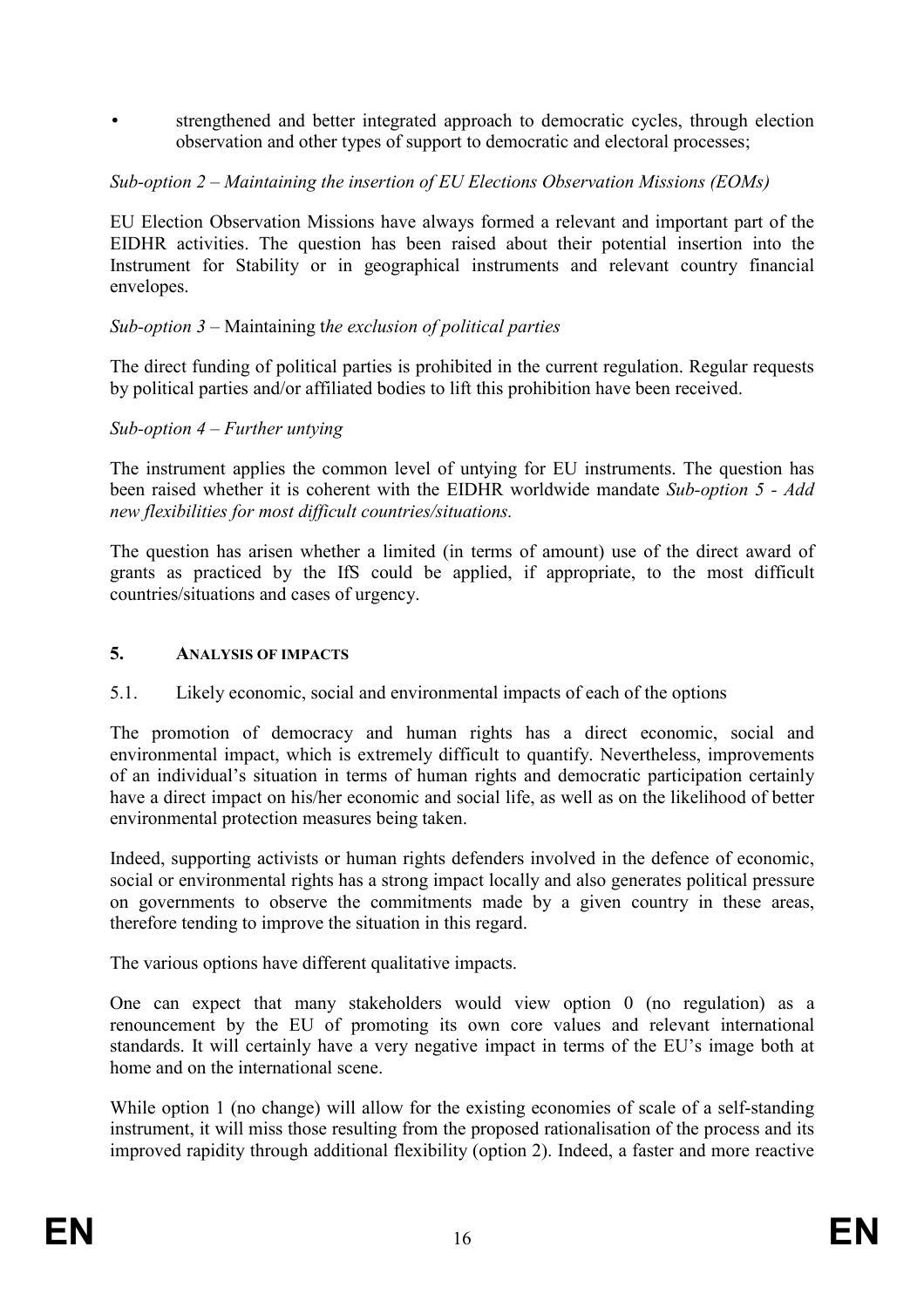strengthened and better integrated approach to democratic cycles, through election observation and other types of support to democratic and electoral processes;

# *Sub-option 2 – Maintaining the insertion of EU Elections Observation Missions (EOMs)*

EU Election Observation Missions have always formed a relevant and important part of the EIDHR activities. The question has been raised about their potential insertion into the Instrument for Stability or in geographical instruments and relevant country financial envelopes.

### *Sub-option 3* – Maintaining t*he exclusion of political parties*

The direct funding of political parties is prohibited in the current regulation. Regular requests by political parties and/or affiliated bodies to lift this prohibition have been received.

### *Sub-option 4 – Further untying*

The instrument applies the common level of untying for EU instruments. The question has been raised whether it is coherent with the EIDHR worldwide mandate *Sub-option 5 - Add new flexibilities for most difficult countries/situations.* 

The question has arisen whether a limited (in terms of amount) use of the direct award of grants as practiced by the IfS could be applied, if appropriate, to the most difficult countries/situations and cases of urgency.

#### **5. AALYSIS OF IMPACTS**

5.1. Likely economic, social and environmental impacts of each of the options

The promotion of democracy and human rights has a direct economic, social and environmental impact, which is extremely difficult to quantify. Nevertheless, improvements of an individual's situation in terms of human rights and democratic participation certainly have a direct impact on his/her economic and social life, as well as on the likelihood of better environmental protection measures being taken.

Indeed, supporting activists or human rights defenders involved in the defence of economic, social or environmental rights has a strong impact locally and also generates political pressure on governments to observe the commitments made by a given country in these areas, therefore tending to improve the situation in this regard.

The various options have different qualitative impacts.

One can expect that many stakeholders would view option 0 (no regulation) as a renouncement by the EU of promoting its own core values and relevant international standards. It will certainly have a very negative impact in terms of the EU's image both at home and on the international scene.

While option 1 (no change) will allow for the existing economies of scale of a self-standing instrument, it will miss those resulting from the proposed rationalisation of the process and its improved rapidity through additional flexibility (option 2). Indeed, a faster and more reactive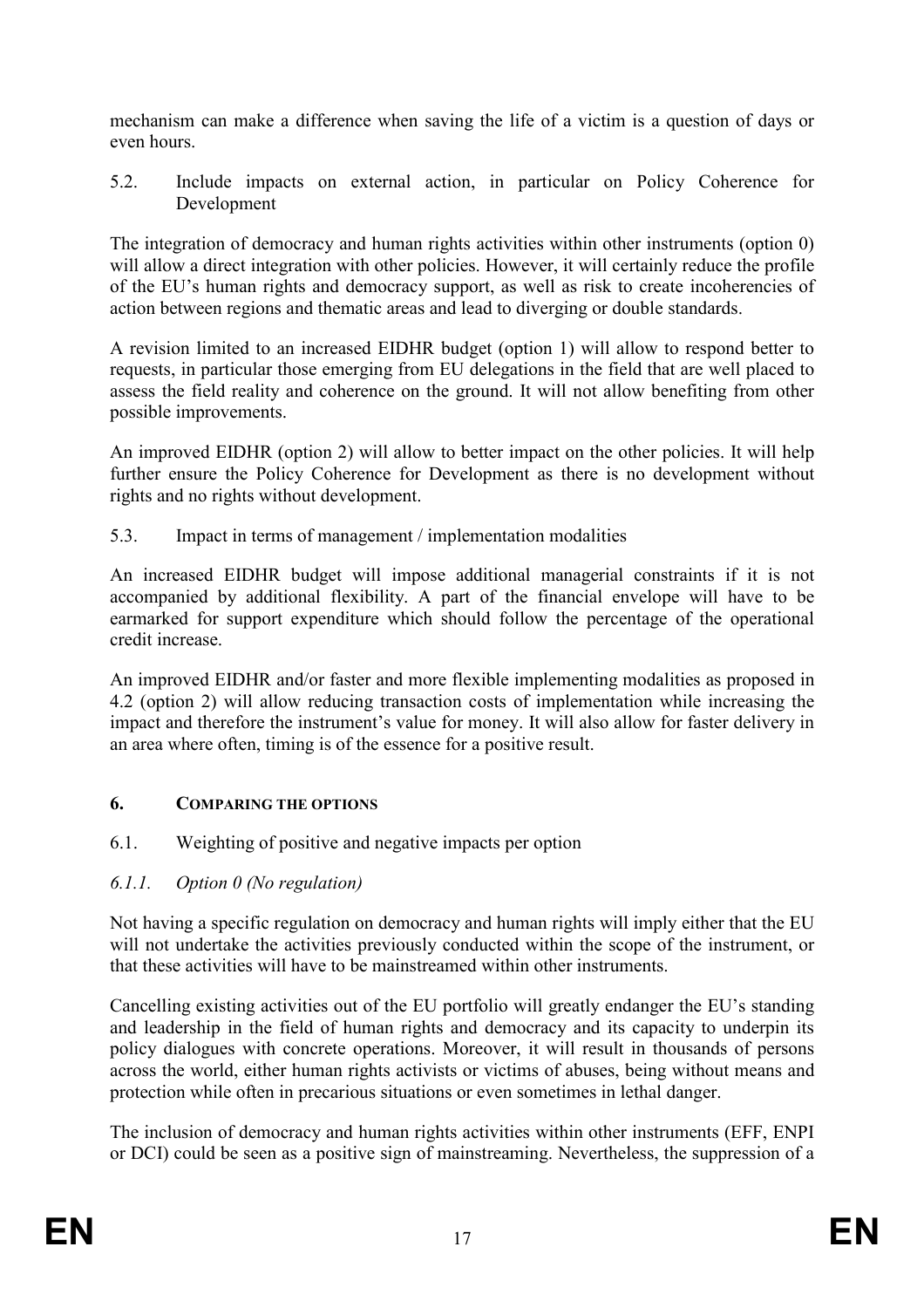mechanism can make a difference when saving the life of a victim is a question of days or even hours.

5.2. Include impacts on external action, in particular on Policy Coherence for Development

The integration of democracy and human rights activities within other instruments (option 0) will allow a direct integration with other policies. However, it will certainly reduce the profile of the EU's human rights and democracy support, as well as risk to create incoherencies of action between regions and thematic areas and lead to diverging or double standards.

A revision limited to an increased EIDHR budget (option 1) will allow to respond better to requests, in particular those emerging from EU delegations in the field that are well placed to assess the field reality and coherence on the ground. It will not allow benefiting from other possible improvements.

An improved EIDHR (option 2) will allow to better impact on the other policies. It will help further ensure the Policy Coherence for Development as there is no development without rights and no rights without development.

5.3. Impact in terms of management / implementation modalities

An increased EIDHR budget will impose additional managerial constraints if it is not accompanied by additional flexibility. A part of the financial envelope will have to be earmarked for support expenditure which should follow the percentage of the operational credit increase.

An improved EIDHR and/or faster and more flexible implementing modalities as proposed in 4.2 (option 2) will allow reducing transaction costs of implementation while increasing the impact and therefore the instrument's value for money. It will also allow for faster delivery in an area where often, timing is of the essence for a positive result.

# **6. COMPARIG THE OPTIOS**

- 6.1. Weighting of positive and negative impacts per option
- *6.1.1. Option 0 (2o regulation)*

Not having a specific regulation on democracy and human rights will imply either that the EU will not undertake the activities previously conducted within the scope of the instrument, or that these activities will have to be mainstreamed within other instruments.

Cancelling existing activities out of the EU portfolio will greatly endanger the EU's standing and leadership in the field of human rights and democracy and its capacity to underpin its policy dialogues with concrete operations. Moreover, it will result in thousands of persons across the world, either human rights activists or victims of abuses, being without means and protection while often in precarious situations or even sometimes in lethal danger.

The inclusion of democracy and human rights activities within other instruments (EFF, ENPI or DCI) could be seen as a positive sign of mainstreaming. Nevertheless, the suppression of a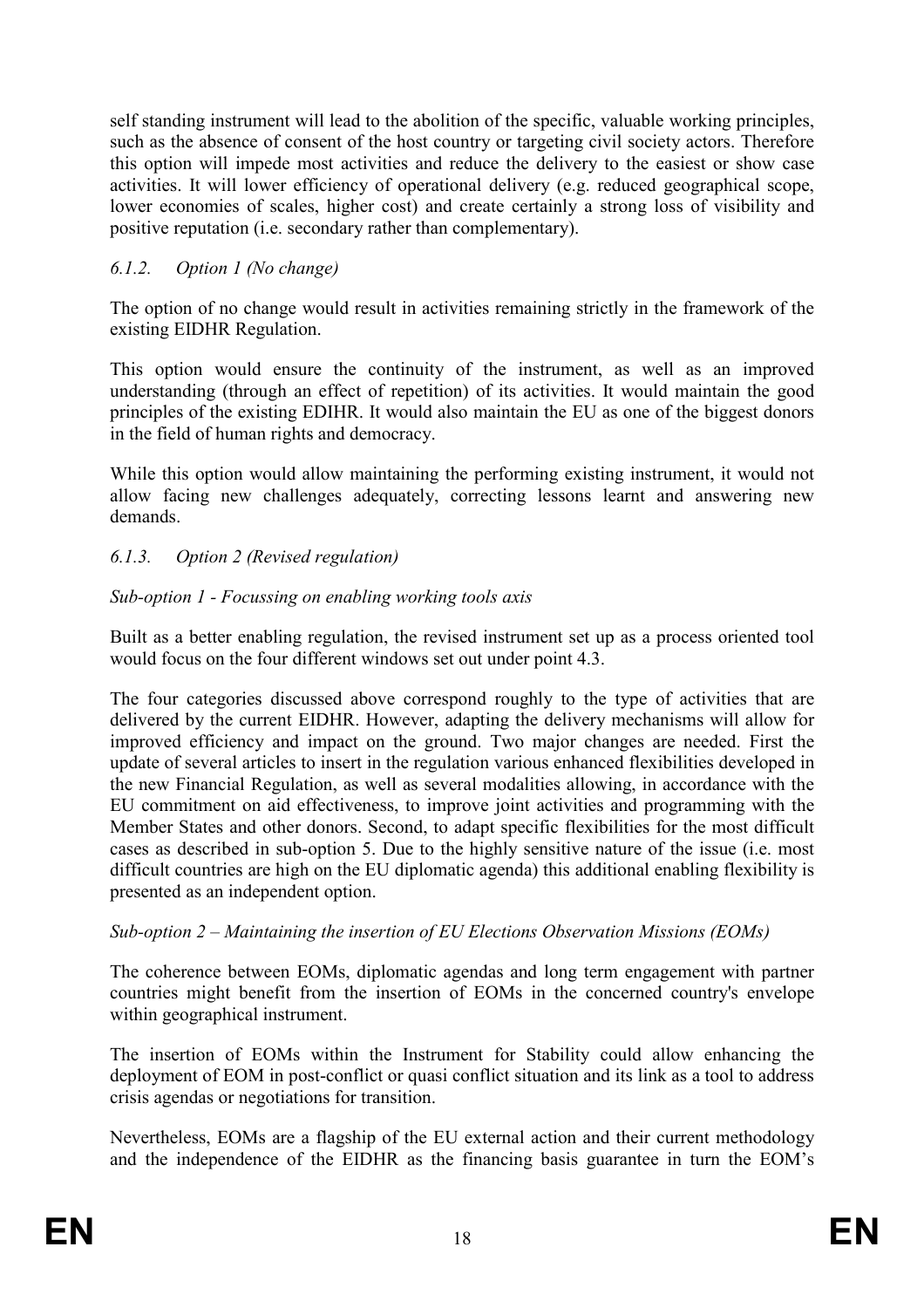self standing instrument will lead to the abolition of the specific, valuable working principles, such as the absence of consent of the host country or targeting civil society actors. Therefore this option will impede most activities and reduce the delivery to the easiest or show case activities. It will lower efficiency of operational delivery (e.g. reduced geographical scope, lower economies of scales, higher cost) and create certainly a strong loss of visibility and positive reputation (i.e. secondary rather than complementary).

# *6.1.2. Option 1 (2o change)*

The option of no change would result in activities remaining strictly in the framework of the existing EIDHR Regulation.

This option would ensure the continuity of the instrument, as well as an improved understanding (through an effect of repetition) of its activities. It would maintain the good principles of the existing EDIHR. It would also maintain the EU as one of the biggest donors in the field of human rights and democracy.

While this option would allow maintaining the performing existing instrument, it would not allow facing new challenges adequately, correcting lessons learnt and answering new demands.

# *6.1.3. Option 2 (Revised regulation)*

# *Sub-option 1 - Focussing on enabling working tools axis*

Built as a better enabling regulation, the revised instrument set up as a process oriented tool would focus on the four different windows set out under point 4.3.

The four categories discussed above correspond roughly to the type of activities that are delivered by the current EIDHR. However, adapting the delivery mechanisms will allow for improved efficiency and impact on the ground. Two major changes are needed. First the update of several articles to insert in the regulation various enhanced flexibilities developed in the new Financial Regulation, as well as several modalities allowing, in accordance with the EU commitment on aid effectiveness, to improve joint activities and programming with the Member States and other donors. Second, to adapt specific flexibilities for the most difficult cases as described in sub-option 5. Due to the highly sensitive nature of the issue (i.e. most difficult countries are high on the EU diplomatic agenda) this additional enabling flexibility is presented as an independent option.

# *Sub-option 2 – Maintaining the insertion of EU Elections Observation Missions (EOMs)*

The coherence between EOMs, diplomatic agendas and long term engagement with partner countries might benefit from the insertion of EOMs in the concerned country's envelope within geographical instrument.

The insertion of EOMs within the Instrument for Stability could allow enhancing the deployment of EOM in post-conflict or quasi conflict situation and its link as a tool to address crisis agendas or negotiations for transition.

Nevertheless, EOMs are a flagship of the EU external action and their current methodology and the independence of the EIDHR as the financing basis guarantee in turn the EOM's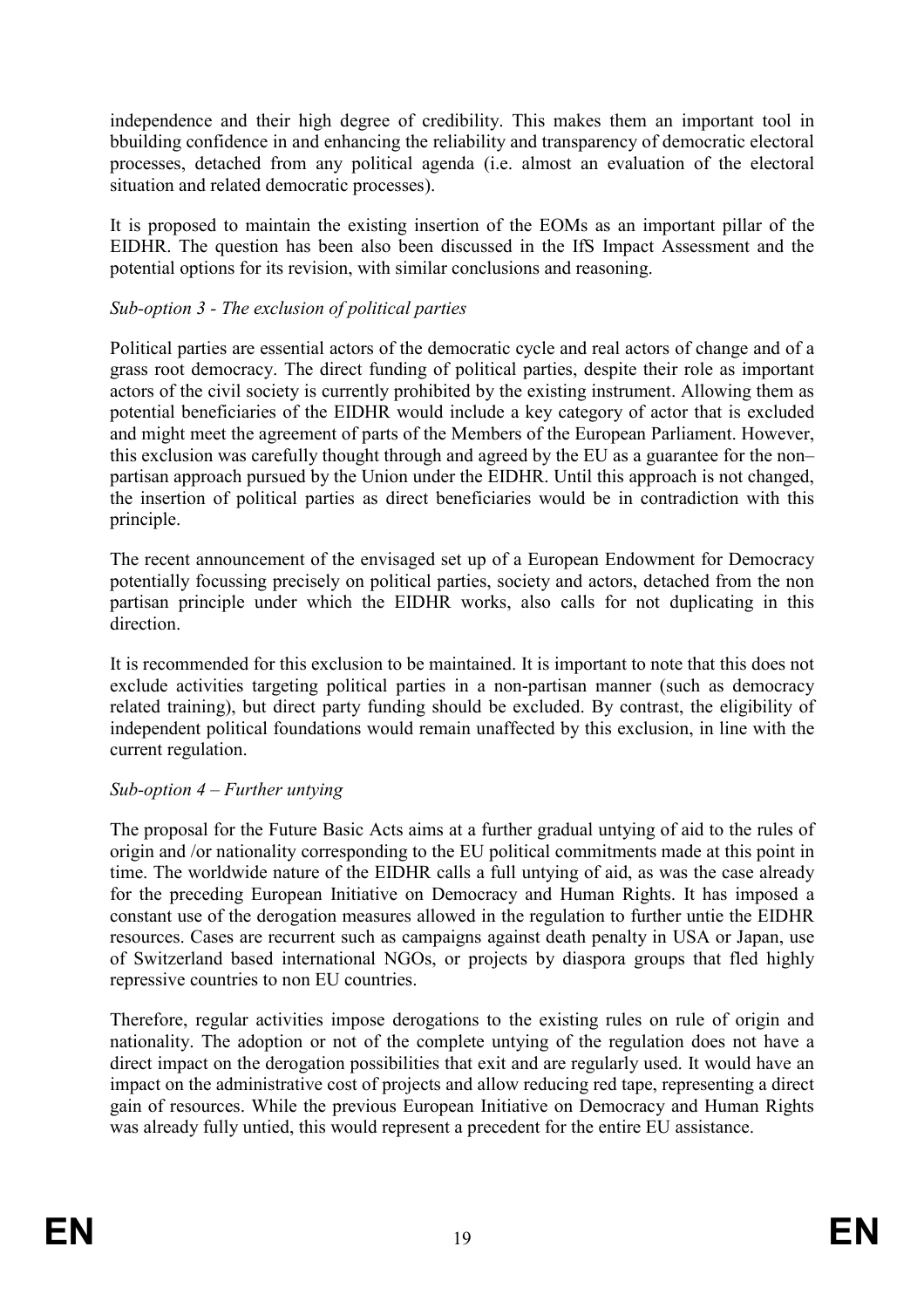independence and their high degree of credibility. This makes them an important tool in bbuilding confidence in and enhancing the reliability and transparency of democratic electoral processes, detached from any political agenda (i.e. almost an evaluation of the electoral situation and related democratic processes).

It is proposed to maintain the existing insertion of the EOMs as an important pillar of the EIDHR. The question has been also been discussed in the IfS Impact Assessment and the potential options for its revision, with similar conclusions and reasoning.

# *Sub-option 3 - The exclusion of political parties*

Political parties are essential actors of the democratic cycle and real actors of change and of a grass root democracy. The direct funding of political parties, despite their role as important actors of the civil society is currently prohibited by the existing instrument. Allowing them as potential beneficiaries of the EIDHR would include a key category of actor that is excluded and might meet the agreement of parts of the Members of the European Parliament. However, this exclusion was carefully thought through and agreed by the EU as a guarantee for the non– partisan approach pursued by the Union under the EIDHR. Until this approach is not changed, the insertion of political parties as direct beneficiaries would be in contradiction with this principle.

The recent announcement of the envisaged set up of a European Endowment for Democracy potentially focussing precisely on political parties, society and actors, detached from the non partisan principle under which the EIDHR works, also calls for not duplicating in this direction.

It is recommended for this exclusion to be maintained. It is important to note that this does not exclude activities targeting political parties in a non-partisan manner (such as democracy related training), but direct party funding should be excluded. By contrast, the eligibility of independent political foundations would remain unaffected by this exclusion, in line with the current regulation.

#### *Sub-option 4 – Further untying*

The proposal for the Future Basic Acts aims at a further gradual untying of aid to the rules of origin and /or nationality corresponding to the EU political commitments made at this point in time. The worldwide nature of the EIDHR calls a full untying of aid, as was the case already for the preceding European Initiative on Democracy and Human Rights. It has imposed a constant use of the derogation measures allowed in the regulation to further untie the EIDHR resources. Cases are recurrent such as campaigns against death penalty in USA or Japan, use of Switzerland based international NGOs, or projects by diaspora groups that fled highly repressive countries to non EU countries.

Therefore, regular activities impose derogations to the existing rules on rule of origin and nationality. The adoption or not of the complete untying of the regulation does not have a direct impact on the derogation possibilities that exit and are regularly used. It would have an impact on the administrative cost of projects and allow reducing red tape, representing a direct gain of resources. While the previous European Initiative on Democracy and Human Rights was already fully untied, this would represent a precedent for the entire EU assistance.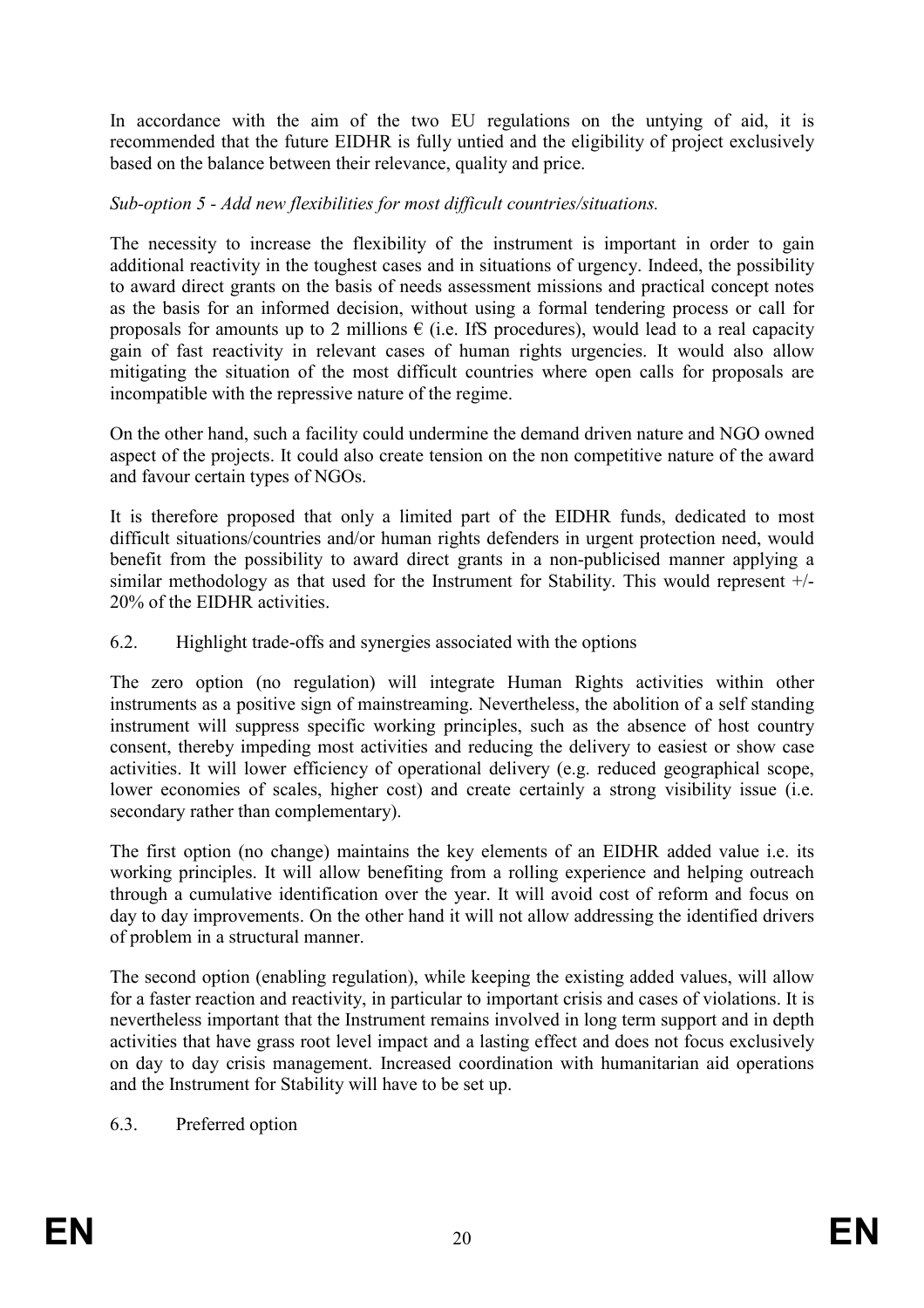In accordance with the aim of the two EU regulations on the untying of aid, it is recommended that the future EIDHR is fully untied and the eligibility of project exclusively based on the balance between their relevance, quality and price.

# *Sub-option 5 - Add new flexibilities for most difficult countries/situations.*

The necessity to increase the flexibility of the instrument is important in order to gain additional reactivity in the toughest cases and in situations of urgency. Indeed, the possibility to award direct grants on the basis of needs assessment missions and practical concept notes as the basis for an informed decision, without using a formal tendering process or call for proposals for amounts up to 2 millions  $\epsilon$  (i.e. IfS procedures), would lead to a real capacity gain of fast reactivity in relevant cases of human rights urgencies. It would also allow mitigating the situation of the most difficult countries where open calls for proposals are incompatible with the repressive nature of the regime.

On the other hand, such a facility could undermine the demand driven nature and NGO owned aspect of the projects. It could also create tension on the non competitive nature of the award and favour certain types of NGOs.

It is therefore proposed that only a limited part of the EIDHR funds, dedicated to most difficult situations/countries and/or human rights defenders in urgent protection need, would benefit from the possibility to award direct grants in a non-publicised manner applying a similar methodology as that used for the Instrument for Stability. This would represent +/- 20% of the EIDHR activities.

### 6.2. Highlight trade-offs and synergies associated with the options

The zero option (no regulation) will integrate Human Rights activities within other instruments as a positive sign of mainstreaming. Nevertheless, the abolition of a self standing instrument will suppress specific working principles, such as the absence of host country consent, thereby impeding most activities and reducing the delivery to easiest or show case activities. It will lower efficiency of operational delivery (e.g. reduced geographical scope, lower economies of scales, higher cost) and create certainly a strong visibility issue (i.e. secondary rather than complementary).

The first option (no change) maintains the key elements of an EIDHR added value i.e. its working principles. It will allow benefiting from a rolling experience and helping outreach through a cumulative identification over the year. It will avoid cost of reform and focus on day to day improvements. On the other hand it will not allow addressing the identified drivers of problem in a structural manner.

The second option (enabling regulation), while keeping the existing added values, will allow for a faster reaction and reactivity, in particular to important crisis and cases of violations. It is nevertheless important that the Instrument remains involved in long term support and in depth activities that have grass root level impact and a lasting effect and does not focus exclusively on day to day crisis management. Increased coordination with humanitarian aid operations and the Instrument for Stability will have to be set up.

#### 6.3. Preferred option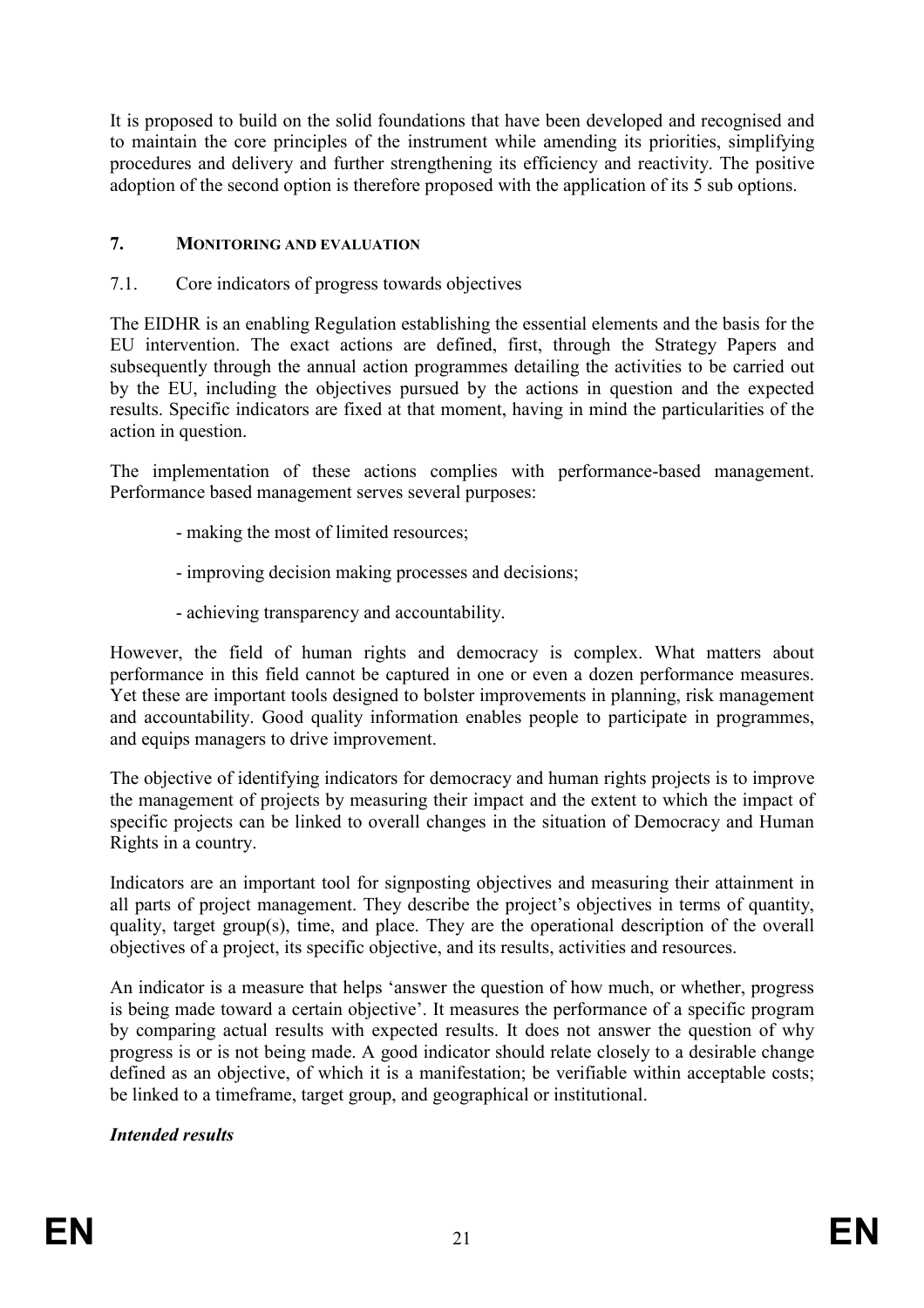It is proposed to build on the solid foundations that have been developed and recognised and to maintain the core principles of the instrument while amending its priorities, simplifying procedures and delivery and further strengthening its efficiency and reactivity. The positive adoption of the second option is therefore proposed with the application of its 5 sub options.

### 7. **MONITORING AND EVALUATION**

7.1. Core indicators of progress towards objectives

The EIDHR is an enabling Regulation establishing the essential elements and the basis for the EU intervention. The exact actions are defined, first, through the Strategy Papers and subsequently through the annual action programmes detailing the activities to be carried out by the EU, including the objectives pursued by the actions in question and the expected results. Specific indicators are fixed at that moment, having in mind the particularities of the action in question.

The implementation of these actions complies with performance-based management. Performance based management serves several purposes:

- making the most of limited resources;
- improving decision making processes and decisions;
- achieving transparency and accountability.

However, the field of human rights and democracy is complex. What matters about performance in this field cannot be captured in one or even a dozen performance measures. Yet these are important tools designed to bolster improvements in planning, risk management and accountability. Good quality information enables people to participate in programmes, and equips managers to drive improvement.

The objective of identifying indicators for democracy and human rights projects is to improve the management of projects by measuring their impact and the extent to which the impact of specific projects can be linked to overall changes in the situation of Democracy and Human Rights in a country.

Indicators are an important tool for signposting objectives and measuring their attainment in all parts of project management. They describe the project's objectives in terms of quantity, quality, target group(s), time, and place. They are the operational description of the overall objectives of a project, its specific objective, and its results, activities and resources.

An indicator is a measure that helps 'answer the question of how much, or whether, progress is being made toward a certain objective'. It measures the performance of a specific program by comparing actual results with expected results. It does not answer the question of why progress is or is not being made. A good indicator should relate closely to a desirable change defined as an objective, of which it is a manifestation; be verifiable within acceptable costs; be linked to a timeframe, target group, and geographical or institutional.

#### *Intended results*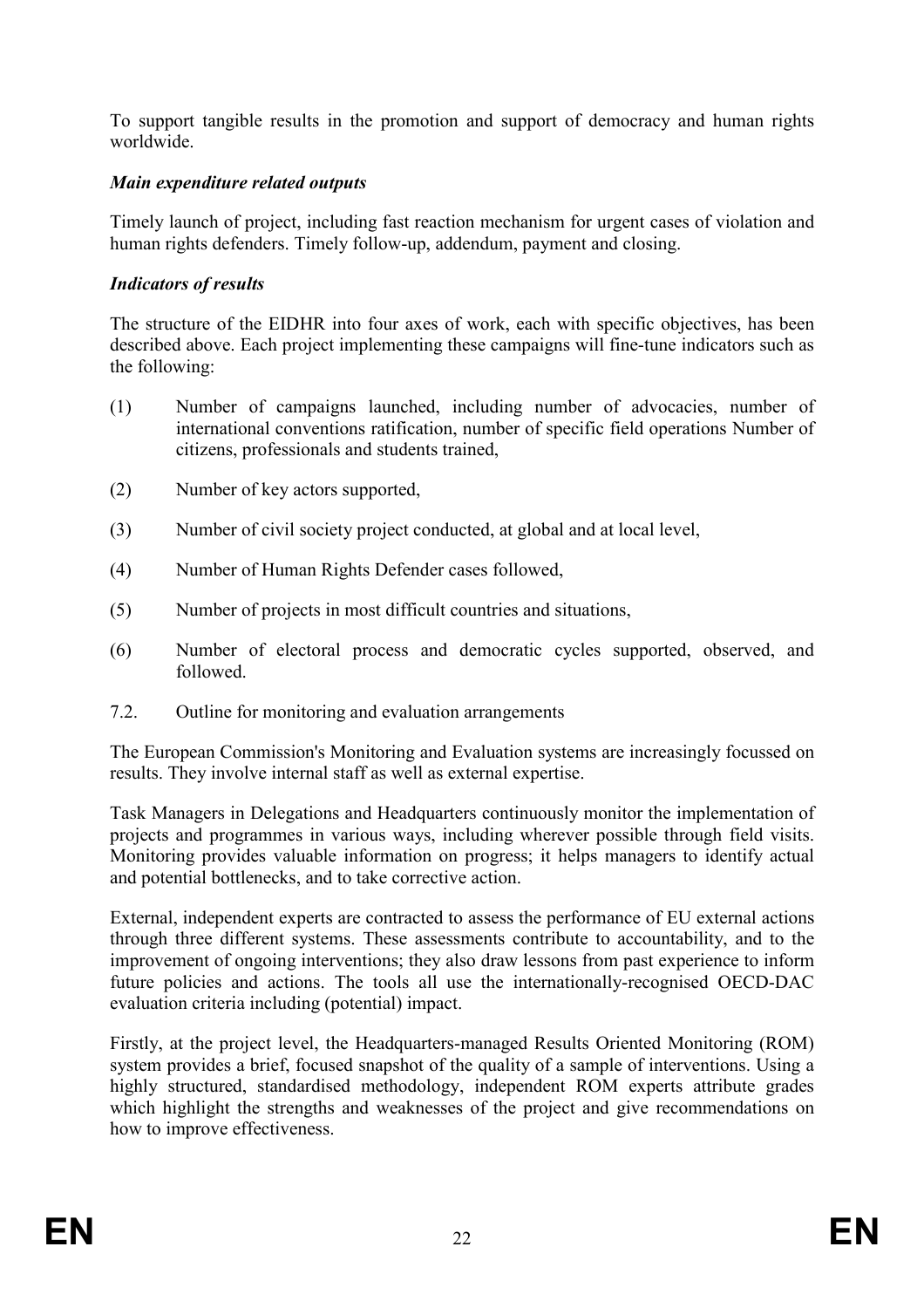To support tangible results in the promotion and support of democracy and human rights worldwide.

# *Main expenditure related outputs*

Timely launch of project, including fast reaction mechanism for urgent cases of violation and human rights defenders. Timely follow-up, addendum, payment and closing.

# *Indicators of results*

The structure of the EIDHR into four axes of work, each with specific objectives, has been described above. Each project implementing these campaigns will fine-tune indicators such as the following:

- (1) Number of campaigns launched, including number of advocacies, number of international conventions ratification, number of specific field operations Number of citizens, professionals and students trained,
- (2) Number of key actors supported,
- (3) Number of civil society project conducted, at global and at local level,
- (4) Number of Human Rights Defender cases followed,
- (5) Number of projects in most difficult countries and situations,
- (6) Number of electoral process and democratic cycles supported, observed, and followed.
- 7.2. Outline for monitoring and evaluation arrangements

The European Commission's Monitoring and Evaluation systems are increasingly focussed on results. They involve internal staff as well as external expertise.

Task Managers in Delegations and Headquarters continuously monitor the implementation of projects and programmes in various ways, including wherever possible through field visits. Monitoring provides valuable information on progress; it helps managers to identify actual and potential bottlenecks, and to take corrective action.

External, independent experts are contracted to assess the performance of EU external actions through three different systems. These assessments contribute to accountability, and to the improvement of ongoing interventions; they also draw lessons from past experience to inform future policies and actions. The tools all use the internationally-recognised OECD-DAC evaluation criteria including (potential) impact.

Firstly, at the project level, the Headquarters-managed Results Oriented Monitoring (ROM) system provides a brief, focused snapshot of the quality of a sample of interventions. Using a highly structured, standardised methodology, independent ROM experts attribute grades which highlight the strengths and weaknesses of the project and give recommendations on how to improve effectiveness.